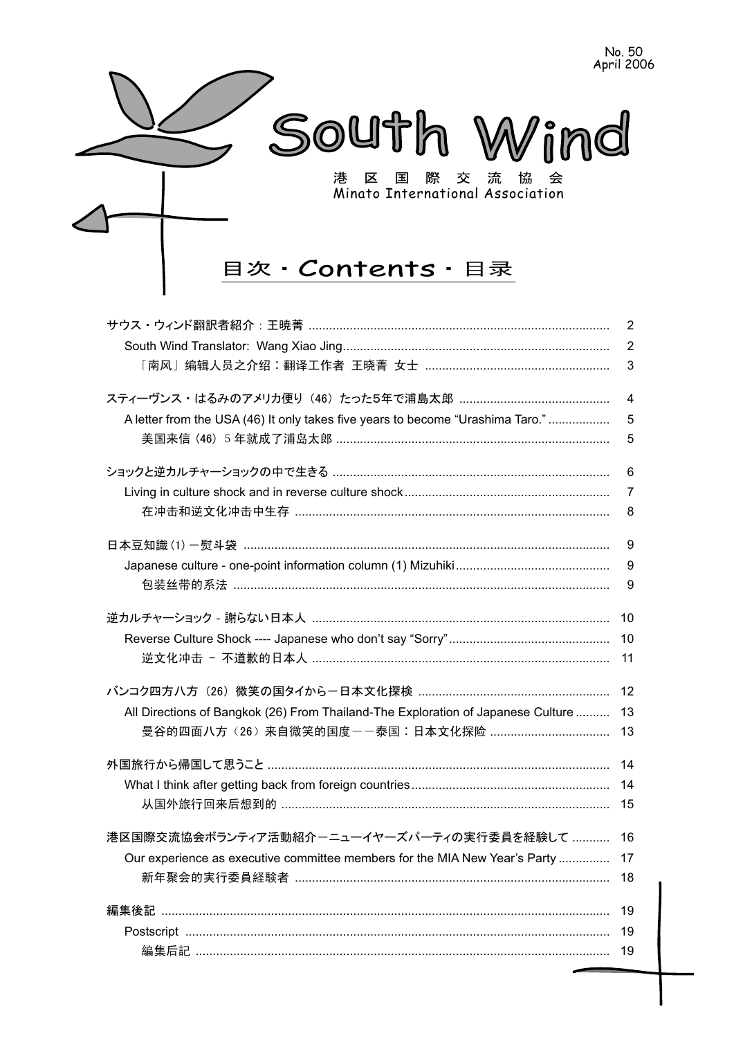

|                                                                                  | $\overline{2}$ |
|----------------------------------------------------------------------------------|----------------|
|                                                                                  | $\overline{2}$ |
|                                                                                  | $\mathsf 3$    |
|                                                                                  | $\overline{4}$ |
| A letter from the USA (46) It only takes five years to become "Urashima Taro."   | 5              |
|                                                                                  | 5              |
|                                                                                  | 6              |
|                                                                                  | $\overline{7}$ |
|                                                                                  | 8              |
|                                                                                  | 9              |
|                                                                                  | 9              |
|                                                                                  | 9              |
|                                                                                  | 10             |
|                                                                                  | 10             |
|                                                                                  | 11             |
|                                                                                  | 12             |
| All Directions of Bangkok (26) From Thailand-The Exploration of Japanese Culture | 13             |
|                                                                                  | 13             |
|                                                                                  | 14             |
|                                                                                  | 14             |
|                                                                                  | 15             |
| 港区国際交流協会ボランティア活動紹介-ニューイヤーズパーティの実行委員を経験して                                         | 16             |
| Our experience as executive committee members for the MIA New Year's Party       | 17             |
|                                                                                  | 18             |
|                                                                                  | 19             |
|                                                                                  | 19             |
|                                                                                  | 19             |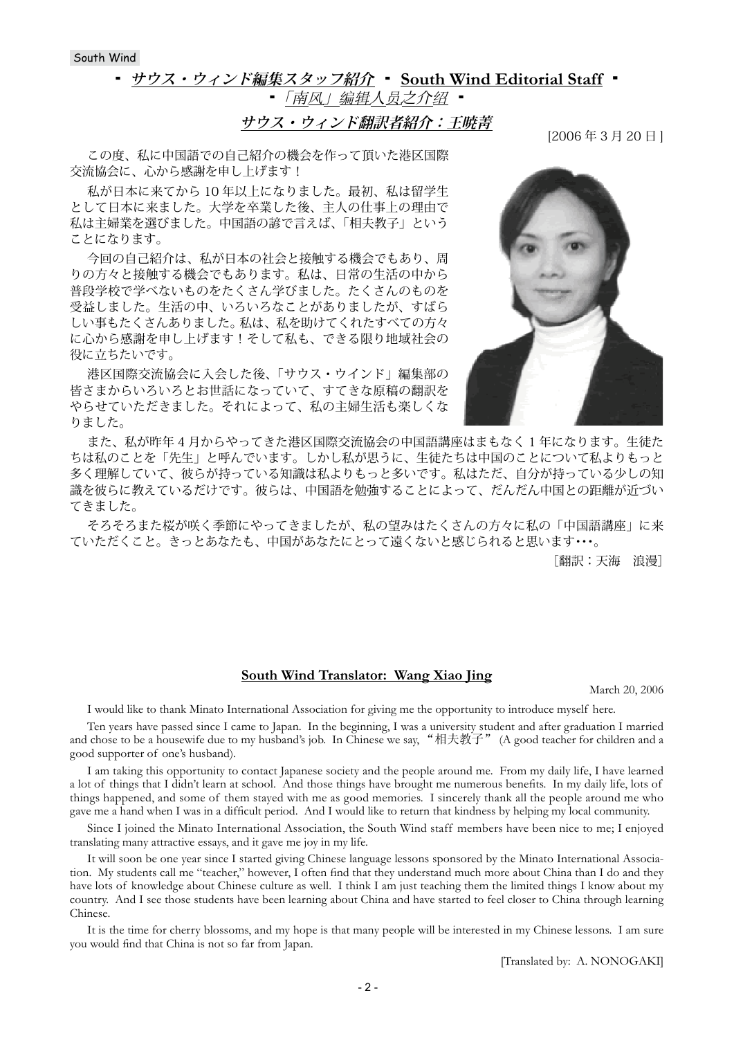South Wind

# <u> サウス・ウィンド編集スタッフ紹介 ▪ South Wind Editorial Staff</u> ▪

▪ 「南风」编辑人员之介绍 ▪

**サウス・ウィンド翻訳者紹介:王暁菁**

この度、私に中国語での自己紹介の機会を作って頂いた港区国際 交流協会に、心から感謝を申し上げます!

私が日本に来てから 10 年以上になりました。最初、私は留学生 として日本に来ました。大学を卒業した後、主人の仕事上の理由で 私は主婦業を選びました。中国語の諺で言えば、「相夫教子」という ことになります。

今回の自己紹介は、私が日本の社会と接触する機会でもあり、周 りの方々と接触する機会でもあります。私は、日常の生活の中から 普段学校で学べないものをたくさん学びました。たくさんのものを 受益しました。生活の中、いろいろなことがありましたが、すばら しい事もたくさんありました。 私は、私を助けてくれたすべての方々 に心から感謝を申し上げます!そして私も、できる限り地域社会の 役に立ちたいです。

港区国際交流協会に入会した後、「サウス・ウインド」編集部の 皆さまからいろいろとお世話になっていて、すてきな原稿の翻訳を やらせていただきました。それによって、私の主婦生活も楽しくな りました。

また、私が昨年 4 月からやってきた港区国際交流協会の中国語講座はまもなく 1 年になります。生徒た ちは私のことを「先生」と呼んでいます。しかし私が思うに、生徒たちは中国のことについて私よりもっと 多く理解していて、彼らが持っている知識は私よりもっと多いです。私はただ、自分が持っている少しの知 識を彼らに教えているだけです。彼らは、中国語を勉強することによって、だんだん中国との距離が近づい てきました。

そろそろまた桜が咲く季節にやってきましたが、私の望みはたくさんの方々に私の「中国語講座」に来 ていただくこと。きっとあなたも、中国があなたにとって遠くないと感じられると思います・・・。

[翻訳:天海 浪漫]

### **South Wind Translator: Wang Xiao Jing**

March 20, 2006

I would like to thank Minato International Association for giving me the opportunity to introduce myself here.

Ten years have passed since I came to Japan. In the beginning, I was a university student and after graduation I married and chose to be a housewife due to my husband's job. In Chinese we say, "相夫教子" (A good teacher for children and a good supporter of one's husband).

I am taking this opportunity to contact Japanese society and the people around me. From my daily life, I have learned a lot of things that I didn't learn at school. And those things have brought me numerous benefits. In my daily life, lots of things happened, and some of them stayed with me as good memories. I sincerely thank all the people around me who gave me a hand when I was in a difficult period. And I would like to return that kindness by helping my local community.

Since I joined the Minato International Association, the South Wind staff members have been nice to me; I enjoyed translating many attractive essays, and it gave me joy in my life.

It will soon be one year since I started giving Chinese language lessons sponsored by the Minato International Association. My students call me "teacher," however, I often find that they understand much more about China than I do and they have lots of knowledge about Chinese culture as well. I think I am just teaching them the limited things I know about my country. And I see those students have been learning about China and have started to feel closer to China through learning Chinese.

It is the time for cherry blossoms, and my hope is that many people will be interested in my Chinese lessons. I am sure you would find that China is not so far from Japan.

[Translated by: A. NONOGAKI]

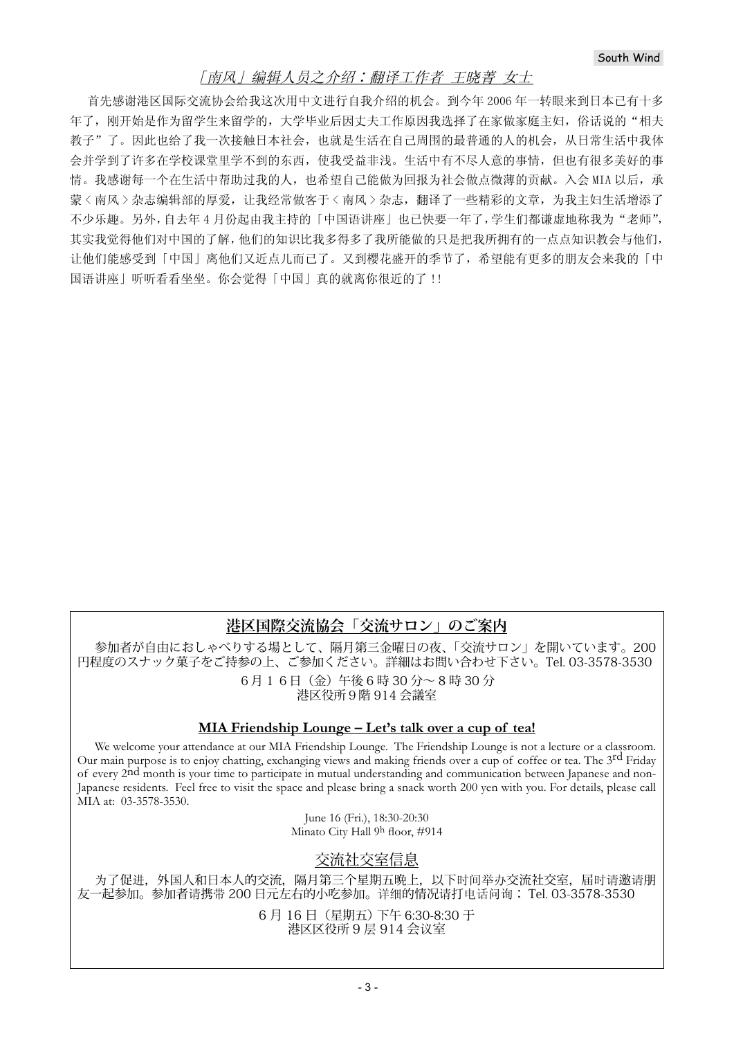# [南风] 编辑人员之介绍:翻译工作者 王晓菁 女士

首先感谢港区国际交流协会给我这次用中文进行自我介绍的机会。到今年2006年一转眼来到日本已有十多 年了, 刚开始是作为留学生来留学的, 大学毕业后因丈夫工作原因我选择了在家做家庭主妇, 俗话说的"相夫 教子"了。因此也给了我一次接触日本社会,也就是生活在自己周围的最普通的人的机会,从日常生活中我体 会并学到了许多在学校课堂里学不到的东西, 使我受益非浅。生活中有不尽人意的事情, 但也有很多美好的事 情。我感谢每一个在生活中帮助过我的人,也希望自己能做为回报为社会做点微薄的贡献。入会 MIA 以后,承 蒙〈南风〉杂志编辑部的厚爱,让我经常做客于〈南风〉杂志,翻译了一些精彩的文章,为我主妇生活增添了 不少乐趣。另外,自去年4月份起由我主持的「中国语讲座」也已快要一年了,学生们都谦虚地称我为"老师", 其实我觉得他们对中国的了解,他们的知识比我多得多了我所能做的只是把我所拥有的一点点知识教会与他们, 让他们能感受到「中国」离他们又近点儿而已了。又到樱花盛开的季节了,希望能有更多的朋友会来我的「中 国语讲座|听听看看坐坐。你会觉得「中国」真的就离你很近的了!!

# **港区国際交流協会「交流サロン」のご案内**

参加者が自由におしゃべりする場として、隔月第三金曜日の夜、「交流サロン」を開いています。200 円程度のスナック菓子をご持参の上、ご参加ください。詳細はお問い合わせ下さい。Tel. 03-3578-3530 6月 1 6日(金)午後 6 時 30 分~ 8 時 30 分 港区役所9階 914 会議室

## **MIA Friendship Lounge – Let's talk over a cup of tea!**

We welcome your attendance at our MIA Friendship Lounge. The Friendship Lounge is not a lecture or a classroom. Our main purpose is to enjoy chatting, exchanging views and making friends over a cup of coffee or tea. The 3<sup>rd</sup> Friday of every 2nd month is your time to participate in mutual understanding and communication between Japanese and non-Japanese residents. Feel free to visit the space and please bring a snack worth 200 yen with you. For details, please call MIA at: 03-3578-3530.

> June 16 (Fri.), 18:30-20:30 Minato City Hall 9h floor, #914

# 交流社交室信息

为了促进,外国人和日本人的交流,隔月第三个星期五晚上,以下时间举办交流社交室,届时请邀请朋 友一起参加。参加者请携带 200 日元左右的小吃参加。详细的情况请打电话问询: Tel. 03-3578-3530

> 6 月 16 日(星期五) 下午 6:30-8:30 于 港区区役所 9 层 914 会议室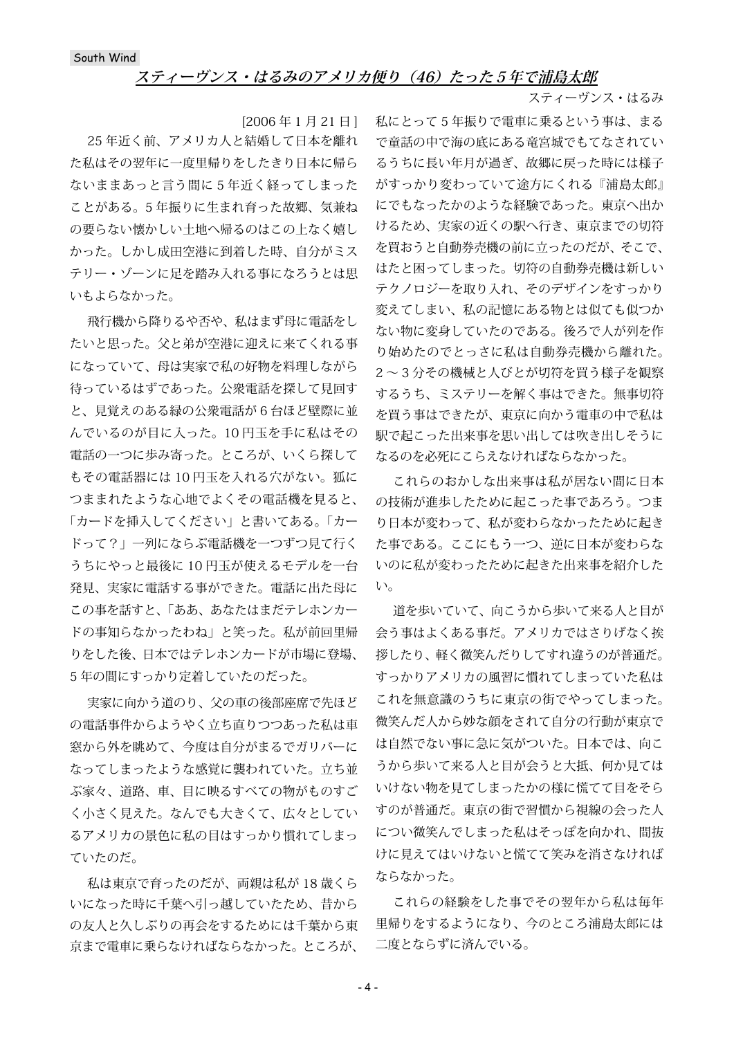## **スティーヴンス・はるみのアメリカ便り (46) たった5年で浦島太郎**

スティーヴンス・はるみ

[2006 年 1 月 21 日 ]

25 年近く前、アメリカ人と結婚して日本を離れ た私はその翌年に一度里帰りをしたきり日本に帰ら ないままあっと言う間に 5 年近く経ってしまった ことがある。5 年振りに生まれ育った故郷、気兼ね の要らない懐かしい土地へ帰るのはこの上なく嬉し かった。しかし成田空港に到着した時、自分がミス テリー・ゾーンに足を踏み入れる事になろうとは思 いもよらなかった。

飛行機から降りるや否や、私はまず母に電話をし たいと思った。父と弟が空港に迎えに来てくれる事 になっていて、母は実家で私の好物を料理しながら 待っているはずであった。公衆電話を探して見回す と、見覚えのある緑の公衆電話が 6 台ほど壁際に並 んでいるのが目に入った。10 円玉を手に私はその 電話の一つに歩み寄った。ところが、いくら探して もその電話器には 10 円玉を入れる穴がない。狐に つままれたような心地でよくその電話機を見ると、 「カードを挿入してください」と書いてある。「カー ドって?」一列にならぶ電話機を一つずつ見て行く うちにやっと最後に 10 円玉が使えるモデルを一台 発見、実家に電話する事ができた。電話に出た母に この事を話すと、「ああ、あなたはまだテレホンカー ドの事知らなかったわね」と笑った。私が前回里帰 りをした後、日本ではテレホンカードが市場に登場、 5 年の間にすっかり定着していたのだった。

実家に向かう道のり、父の車の後部座席で先ほど の電話事件からようやく立ち直りつつあった私は車 窓から外を眺めて、今度は自分がまるでガリバーに なってしまったような感覚に襲われていた。立ち並 ぶ家々、道路、車、目に映るすべての物がものすご く小さく見えた。なんでも大きくて、広々としてい るアメリカの景色に私の目はすっかり慣れてしまっ ていたのだ。

私は東京で育ったのだが、両親は私が 18 歳くら いになった時に千葉へ引っ越していたため、昔から の友人と久しぶりの再会をするためには千葉から東 京まで電車に乗らなければならなかった。ところが、 私にとって 5 年振りで電車に乗るという事は、まる で童話の中で海の底にある竜宮城でもてなされてい るうちに長い年月が過ぎ、故郷に戻った時には様子 がすっかり変わっていて途方にくれる『浦島太郎』 にでもなったかのような経験であった。東京へ出か けるため、実家の近くの駅へ行き、東京までの切符 を買おうと自動券売機の前に立ったのだが、そこで、 はたと困ってしまった。切符の自動券売機は新しい テクノロジーを取り入れ、そのデザインをすっかり 変えてしまい、私の記憶にある物とは似ても似つか ない物に変身していたのである。後ろで人が列を作 り始めたのでとっさに私は自動券売機から離れた。 2 ~ 3 分その機械と人びとが切符を買う様子を観察 するうち、ミステリーを解く事はできた。無事切符 を買う事はできたが、東京に向かう電車の中で私は 駅で起こった出来事を思い出しては吹き出しそうに なるのを必死にこらえなければならなかった。

これらのおかしな出来事は私が居ない間に日本 の技術が進歩したために起こった事であろう。つま り日本が変わって、私が変わらなかったために起き た事である。ここにもう一つ、逆に日本が変わらな いのに私が変わったために起きた出来事を紹介した い。

道を歩いていて、向こうから歩いて来る人と目が 会う事はよくある事だ。アメリカではさりげなく挨 拶したり、軽く微笑んだりしてすれ違うのが普通だ。 すっかりアメリカの風習に慣れてしまっていた私は これを無意識のうちに東京の街でやってしまった。 微笑んだ人から妙な顔をされて自分の行動が東京で は自然でない事に急に気がついた。日本では、向こ うから歩いて来る人と目が会うと大抵、何か見ては いけない物を見てしまったかの様に慌てて目をそら すのが普通だ。東京の街で習慣から視線の会った人 につい微笑んでしまった私はそっぽを向かれ、間抜 けに見えてはいけないと慌てて笑みを消さなければ ならなかった。

これらの経験をした事でその翌年から私は毎年 里帰りをするようになり、今のところ浦島太郎には 二度とならずに済んでいる。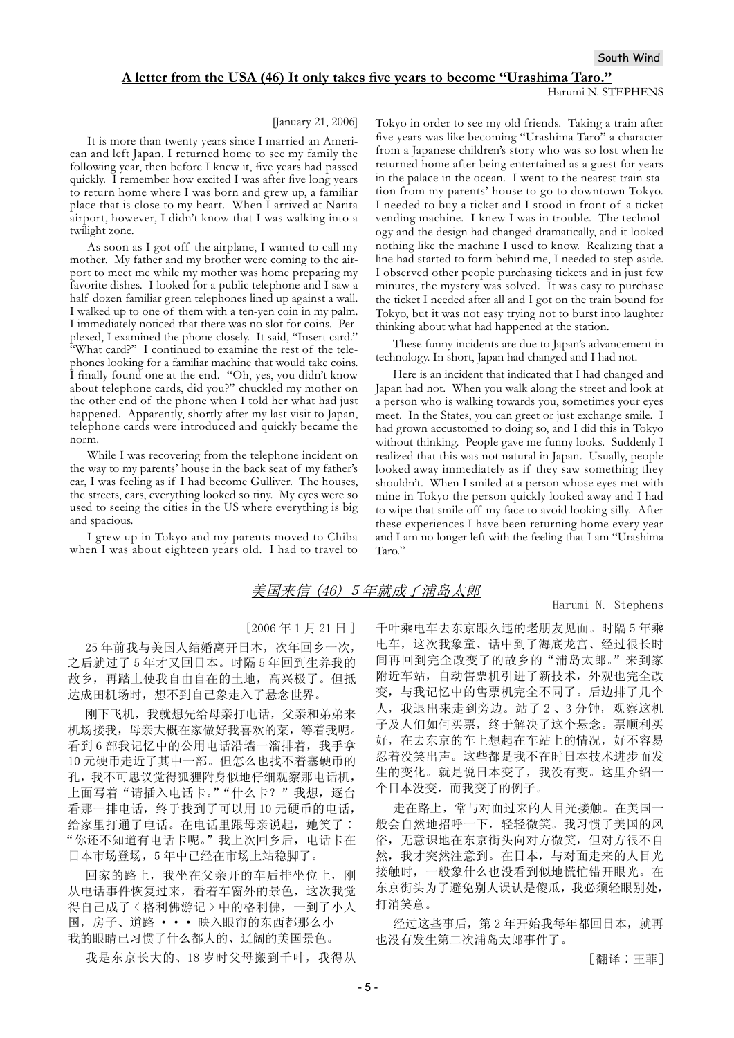#### A letter from the USA (46) It only takes five years to become "Urashima Taro."

#### Harumi N. STEPHENS

#### [January 21, 2006]

It is more than twenty years since I married an American and left Japan. I returned home to see my family the following year, then before I knew it, five years had passed quickly. I remember how excited I was after five long years to return home where I was born and grew up, a familiar place that is close to my heart. When I arrived at Narita airport, however, I didn't know that I was walking into a twilight zone.

As soon as I got off the airplane, I wanted to call my mother. My father and my brother were coming to the airport to meet me while my mother was home preparing my favorite dishes. I looked for a public telephone and I saw a half dozen familiar green telephones lined up against a wall. I walked up to one of them with a ten-yen coin in my palm. I immediately noticed that there was no slot for coins. Perplexed, I examined the phone closely. It said, "Insert card." "What card?" I continued to examine the rest of the telephones looking for a familiar machine that would take coins. I finally found one at the end. "Oh, yes, you didn't know about telephone cards, did you?" chuckled my mother on the other end of the phone when I told her what had just happened. Apparently, shortly after my last visit to Japan, telephone cards were introduced and quickly became the norm.

While I was recovering from the telephone incident on the way to my parents' house in the back seat of my father's car, I was feeling as if I had become Gulliver. The houses, the streets, cars, everything looked so tiny. My eyes were so used to seeing the cities in the US where everything is big and spacious.

I grew up in Tokyo and my parents moved to Chiba when I was about eighteen years old. I had to travel to Tokyo in order to see my old friends. Taking a train after five years was like becoming "Urashima Taro" a character from a Japanese children's story who was so lost when he returned home after being entertained as a guest for years in the palace in the ocean. I went to the nearest train station from my parents' house to go to downtown Tokyo. I needed to buy a ticket and I stood in front of a ticket vending machine. I knew I was in trouble. The technology and the design had changed dramatically, and it looked nothing like the machine I used to know. Realizing that a line had started to form behind me, I needed to step aside. I observed other people purchasing tickets and in just few minutes, the mystery was solved. It was easy to purchase the ticket I needed after all and I got on the train bound for Tokyo, but it was not easy trying not to burst into laughter thinking about what had happened at the station.

These funny incidents are due to Japan's advancement in technology. In short, Japan had changed and I had not.

Here is an incident that indicated that I had changed and Japan had not. When you walk along the street and look at a person who is walking towards you, sometimes your eyes meet. In the States, you can greet or just exchange smile. I had grown accustomed to doing so, and I did this in Tokyo without thinking. People gave me funny looks. Suddenly I realized that this was not natural in Japan. Usually, people looked away immediately as if they saw something they shouldn't. When I smiled at a person whose eyes met with mine in Tokyo the person quickly looked away and I had to wipe that smile off my face to avoid looking silly. After these experiences I have been returning home every year and I am no longer left with the feeling that I am "Urashima Taro."

## 美国来信 (46) 5 年就成了浦岛太郎

#### Harumi N. Stephens

#### $[2006 \n41 H 21 H]$

25 年前我与美国人结婚离开日本,次年回乡一次, 之后就过了5年才又回日本。时隔5年回到生养我的 故乡, 再踏上使我自由自在的土地, 高兴极了。但抵 达成田机场时, 想不到自己象走入了悬念世界。

刚下飞机, 我就想先给母亲打电话, 父亲和弟弟来 机场接我,母亲大概在家做好我喜欢的菜,等着我呢。 看到 6 部我记忆中的公用电话沿墙一溜排着,我手拿 10 元硬币走近了其中一部。但怎么也找不着塞硬币的 孔, 我不可思议觉得狐狸附身似地仔细观察那电话机, 上面写着"请插入电话卡。""什么卡?"我想, 逐台 看那一排电话,终于找到了可以用10元硬币的电话, 给家里打通了电话。在电话里跟母亲说起,她笑了: "你还不知道有电话卡呢。"我上次回乡后, 电话卡在 日本市场登场,5年中已经在市场上站稳脚了。

回家的路上, 我坐在父亲开的车后排坐位上, 刚 从电话事件恢复过来,看着车窗外的景色,这次我觉 得自己成了〈格利佛游记〉中的格利佛, 一到了小人 国, 房子、道路 • • 映入眼帘的东西都那么小 --我的眼睛已习惯了什么都大的、辽阔的美国景色。

我是东京长大的、18岁时父母搬到千叶, 我得从

千叶乘电车去东京跟久违的老朋友见面。 时隔 5 年乘 电车, 这次我象童、话中到了海底龙宫、经过很长时 间再回到完全改变了的故乡的"浦岛太郎。"来到家 附近车站, 自动售票机引进了新技术, 外观也完全改 变, 与我记忆中的售票机完全不同了。后边排了几个 人, 我退出来走到旁边。站了2、3分钟, 观察这机 子及人们如何买票, 终于解决了这个悬念。 票顺利买 好, 在去东京的车上想起在车站上的情况, 好不容易 忍着没笑出声。这些都是我不在时日本技术进步而发 生的变化。就是说日本变了,我没有变。这里介绍一 个日本没变,而我变了的例子。

走在路上, 常与对面过来的人目光接触。在美国一 般会自然地招呼一下, 轻轻微笑。我习惯了美国的风 俗,无意识地在东京街头向对方微笑,但对方很不自 然, 我才突然注意到。在日本, 与对面走来的人目光 接触时, 一般象什么也没看到似地慌忙错开眼光。在 东京街头为了避免别人误认是傻瓜, 我必须轻眼别处, 打消笑意。

经过这些事后, 第2年开始我每年都回日本, 就再 也没有发生第二次浦岛太郎事件了。

[翻译:王菲]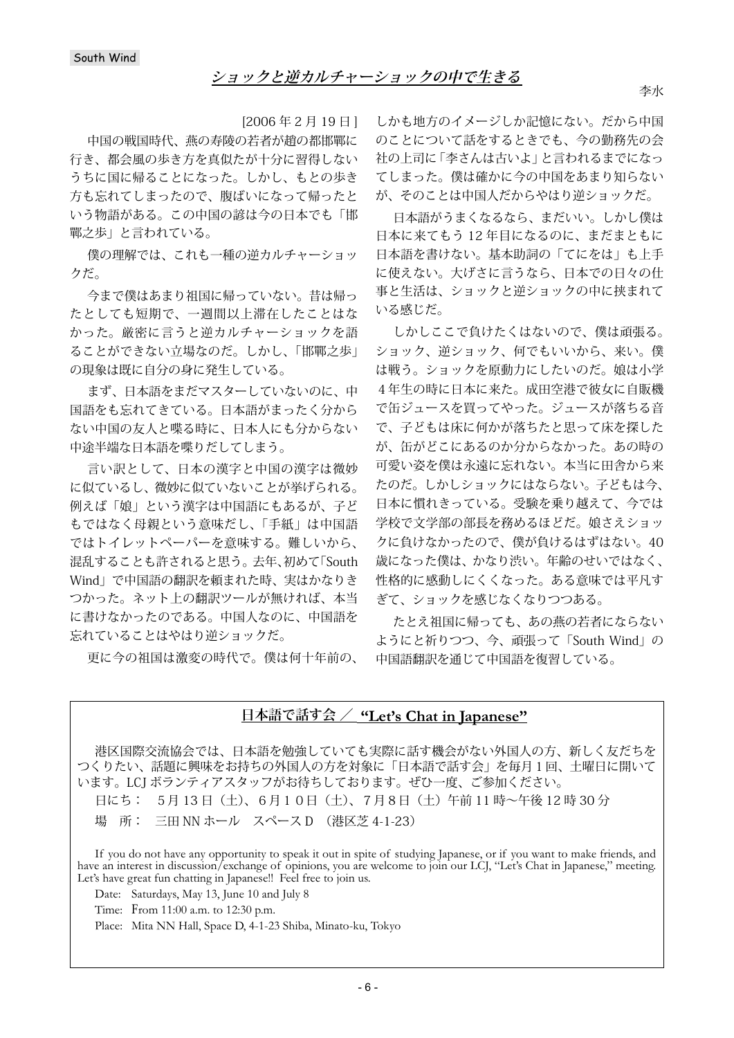[2006 年 2 月 19 日 ]

中国の戦国時代、燕の寿陵の若者が趙の都邯鄲に 行き、都会風の歩き方を真似たが十分に習得しない うちに国に帰ることになった。しかし、もとの歩き 方も忘れてしまったので、腹ばいになって帰ったと いう物語がある。この中国の諺は今の日本でも「邯 鄲之歩」と言われている。

僕の理解では、これも一種の逆カルチャーショッ クだ。

今まで僕はあまり祖国に帰っていない。昔は帰っ たとしても短期で、一週間以上滞在したことはな かった。厳密に言うと逆カルチャーショックを語 ることができない立場なのだ。しかし、「邯鄲之歩」 の現象は既に自分の身に発生している。

まず、日本語をまだマスターしていないのに、中 国語をも忘れてきている。日本語がまったく分から ない中国の友人と喋る時に、日本人にも分からない 中途半端な日本語を喋りだしてしまう。

言い訳として、日本の漢字と中国の漢字は微妙 に似ているし、微妙に似ていないことが挙げられる。 例えば「娘」という漢字は中国語にもあるが、子ど もではなく母親という意味だし、「手紙」は中国語 ではトイレットペーパーを意味する。難しいから、 混乱することも許されると思う。去年、初めて「South Wind」で中国語の翻訳を頼まれた時、実はかなりき つかった。ネット上の翻訳ツールが無ければ、本当 に書けなかったのである。中国人なのに、中国語を 忘れていることはやはり逆ショックだ。

更に今の祖国は激変の時代で。僕は何十年前の、

しかも地方のイメージしか記憶にない。だから中国 のことについて話をするときでも、今の勤務先の会 社の上司に「李さんは古いよ」と言われるまでになっ てしまった。僕は確かに今の中国をあまり知らない が、そのことは中国人だからやはり逆ショックだ。

日本語がうまくなるなら、まだいい。しかし僕は 日本に来てもう 12 年目になるのに、まだまともに 日本語を書けない。基本助詞の「てにをは」も上手 に使えない。大げさに言うなら、日本での日々の仕 事と生活は、ショックと逆ショックの中に挟まれて いる感じだ。

しかしここで負けたくはないので、僕は頑張る。 ショック、逆ショック、何でもいいから、来い。僕 は戦う。ショックを原動力にしたいのだ。娘は小学 4年生の時に日本に来た。成田空港で彼女に自販機 で缶ジュースを買ってやった。ジュースが落ちる音 で、子どもは床に何かが落ちたと思って床を探した が、缶がどこにあるのか分からなかった。あの時の 可愛い姿を僕は永遠に忘れない。本当に田舎から来 たのだ。しかしショックにはならない。子どもは今、 日本に慣れきっている。受験を乗り越えて、今では 学校で文学部の部長を務めるほどだ。娘さえショッ クに負けなかったので、僕が負けるはずはない。40 歳になった僕は、かなり渋い。年齢のせいではなく、 性格的に感動しにくくなった。ある意味では平凡す ぎて、ショックを感じなくなりつつある。

たとえ祖国に帰っても、あの燕の若者にならない ようにと祈りつつ、今、頑張って「South Wind」の 中国語翻訳を通じて中国語を復習している。

# **日本語で話す会 / "Let's Chat in Japanese"**

港区国際交流協会では、日本語を勉強していても実際に話す機会がない外国人の方、新しく友だちを つくりたい、話題に興味をお持ちの外国人の方を対象に「日本語で話す会」を毎月1回、土曜日に開いて います。LCJ ボランティアスタッフがお待ちしております。ぜひ一度、ご参加ください。

日にち: 5月 13 日(土)、6月10日(土)、7月8日(土)午前 11 時~午後 12 時 30 分

場 所: 三田 NN ホール スペース D (港区芝 4-1-23)

If you do not have any opportunity to speak it out in spite of studying Japanese, or if you want to make friends, and have an interest in discussion/exchange of opinions, you are welcome to join our LCJ, "Let's Chat in Japanese," meeting. Let's have great fun chatting in Japanese!! Feel free to join us.

Date: Saturdays, May 13, June 10 and July 8

Time: From 11:00 a.m. to 12:30 p.m.

Place: Mita NN Hall, Space D, 4-1-23 Shiba, Minato-ku, Tokyo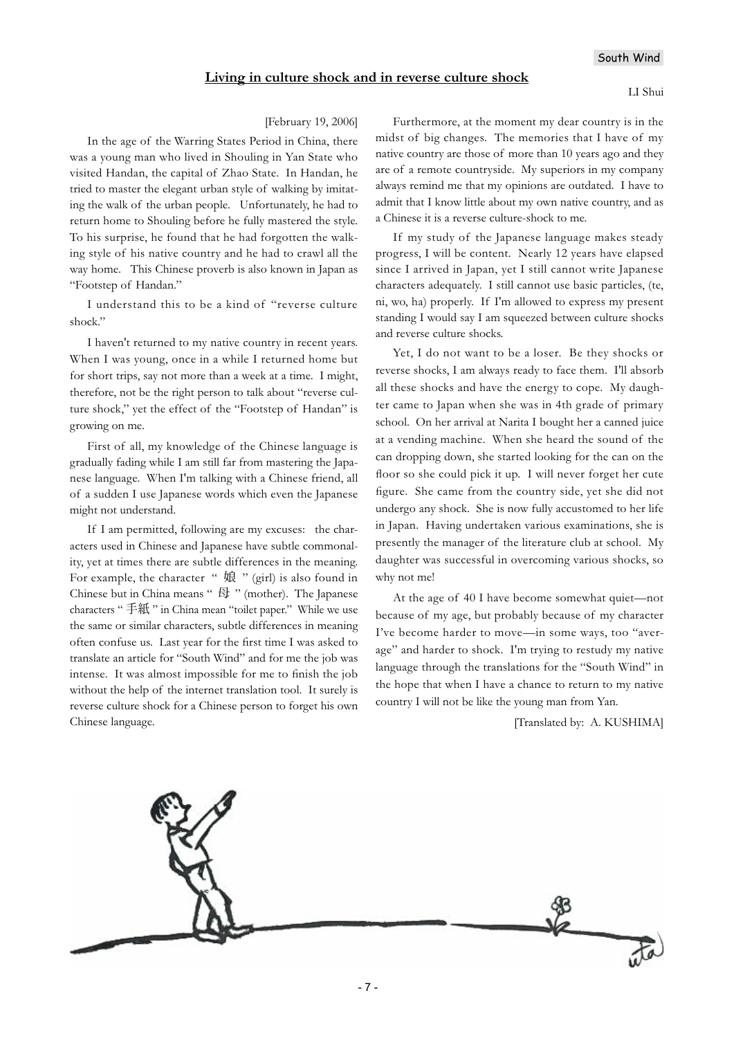### South Wind

### **Living in culture shock and in reverse culture shock**

#### [February 19, 2006]

In the age of the Warring States Period in China, there was a young man who lived in Shouling in Yan State who visited Handan, the capital of Zhao State. In Handan, he tried to master the elegant urban style of walking by imitating the walk of the urban people. Unfortunately, he had to return home to Shouling before he fully mastered the style. To his surprise, he found that he had forgotten the walking style of his native country and he had to crawl all the way home. This Chinese proverb is also known in Japan as "Footstep of Handan."

I understand this to be a kind of "reverse culture shock."

I haven't returned to my native country in recent years. When I was young, once in a while I returned home but for short trips, say not more than a week at a time. I might, therefore, not be the right person to talk about "reverse culture shock," yet the effect of the "Footstep of Handan" is growing on me.

First of all, my knowledge of the Chinese language is gradually fading while I am still far from mastering the Japanese language. When I'm talking with a Chinese friend, all of a sudden I use Japanese words which even the Japanese might not understand.

If I am permitted, following are my excuses: the characters used in Chinese and Japanese have subtle commonality, yet at times there are subtle differences in the meaning. For example, the character " 娘 " (girl) is also found in Chinese but in China means " 母 " (mother). The Japanese characters " 手紙 " in China mean "toilet paper." While we use the same or similar characters, subtle differences in meaning often confuse us. Last year for the first time I was asked to translate an article for "South Wind" and for me the job was intense. It was almost impossible for me to finish the job without the help of the internet translation tool. It surely is reverse culture shock for a Chinese person to forget his own Chinese language.

Furthermore, at the moment my dear country is in the midst of big changes. The memories that I have of my native country are those of more than 10 years ago and they are of a remote countryside. My superiors in my company always remind me that my opinions are outdated. I have to admit that I know little about my own native country, and as a Chinese it is a reverse culture-shock to me.

If my study of the Japanese language makes steady progress, I will be content. Nearly 12 years have elapsed since I arrived in Japan, yet I still cannot write Japanese characters adequately. I still cannot use basic particles, (te, ni, wo, ha) properly. If I'm allowed to express my present standing I would say I am squeezed between culture shocks and reverse culture shocks.

Yet, I do not want to be a loser. Be they shocks or reverse shocks, I am always ready to face them. I'll absorb all these shocks and have the energy to cope. My daughter came to Japan when she was in 4th grade of primary school. On her arrival at Narita I bought her a canned juice at a vending machine. When she heard the sound of the can dropping down, she started looking for the can on the floor so she could pick it up. I will never forget her cute figure. She came from the country side, yet she did not undergo any shock. She is now fully accustomed to her life in Japan. Having undertaken various examinations, she is presently the manager of the literature club at school. My daughter was successful in overcoming various shocks, so why not me!

At the age of 40 I have become somewhat quiet—not because of my age, but probably because of my character I've become harder to move—in some ways, too "average" and harder to shock. I'm trying to restudy my native language through the translations for the "South Wind" in the hope that when I have a chance to return to my native country I will not be like the young man from Yan.

[Translated by: A. KUSHIMA]

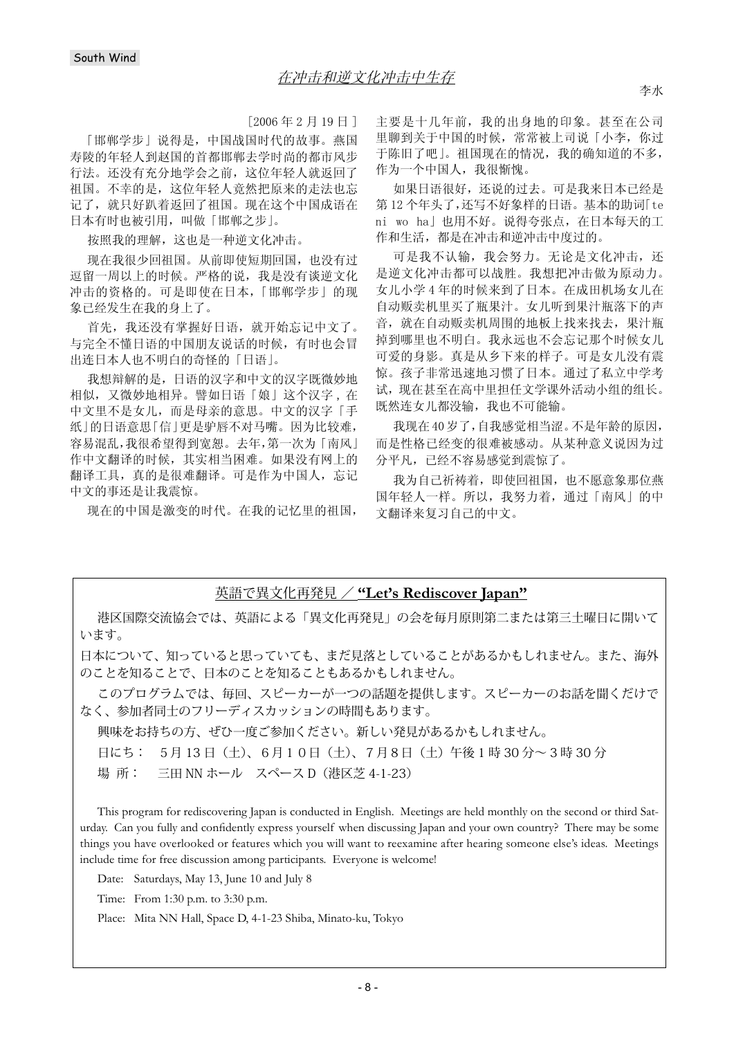$[2006 \n452 \n419 \n41]$ 

[邯郸学步] 说得是, 中国战国时代的故事。燕国 寿陵的年轻人到赵国的首都邯郸去学时尚的都市风步 行法。还没有充分地学会之前, 这位年轻人就返回了 祖国。不幸的是, 这位年轻人竟然把原来的走法也忘 记了, 就只好趴着返回了祖国。现在这个中国成语在 日本有时也被引用,叫做「邯郸之步」。

按照我的理解,这也是一种逆文化冲击。

现在我很少回祖国。从前即使短期回国, 也没有过 逗留一周以上的时候。严格的说,我是没有谈逆文化 冲击的资格的。可是即使在日本,「邯郸学步」的现 象已经发生在我的身上了。

首先, 我还没有掌握好日语, 就开始忘记中文了。 与完全不懂日语的中国朋友说话的时候,有时也会冒 出连日本人也不明白的奇怪的「日语」。

我想辩解的是, 日语的汉字和中文的汉字既微妙地 相似,又微妙地相异。譬如日语「娘」这个汉字,在 中文里不是女儿, 而是母亲的意思。中文的汉字「手 纸」的日语意思「信」更是驴唇不对马嘴。因为比较难, 容易混乱,我很希望得到宽恕。去年,第一次为「南风」 作中文翻译的时候, 其实相当困难。如果没有网上的 翻译工具, 真的是很难翻译。可是作为中国人, 忘记 中文的事还是让我震惊。

现在的中国是激变的时代。在我的记忆里的祖国,

主要是十几年前, 我的出身地的印象。甚至在公司 里聊到关于中国的时候,常常被上司说「小李,你过 于陈旧了吧」。祖国现在的情况,我的确知道的不多, 作为一个中国人,我很惭愧。

如果日语很好,还说的过去。可是我来日本已经是 第12个年头了,还写不好象样的日语。基本的助词[te ni wo ha」也用不好。说得夸张点, 在日本每天的工 作和生活,都是在冲击和逆冲击中度过的。

可是我不认输,我会努力。无论是文化冲击,还 是逆文化冲击都可以战胜。我想把冲击做为原动力。 女儿小学4年的时候来到了日本。在成田机场女儿在 自动贩卖机里买了瓶果汁。女儿听到果汁瓶落下的声 音, 就在自动贩卖机周围的地板上找来找去, 果汁瓶 掉到哪里也不明白。我永远也不会忘记那个时候女儿 可爱的身影。真是从乡下来的样子。可是女儿没有震 惊。孩子非常迅速地习惯了日本。通过了私立中学考 试, 现在甚至在高中里担任文学课外活动小组的组长。 既然连女儿都没输, 我也不可能输。

我现在40岁了,自我感觉相当涩。不是年龄的原因, 而是性格已经变的很难被感动。从某种意义说因为过 分平凡, 已经不容易感觉到震惊了。

我为自己祈祷着, 即使回祖国, 也不愿意象那位燕 国年轻人一样。所以, 我努力着, 通过「南风」的中 文翻译来复习自己的中文。

## 英語で異文化再発見 / **"Let's Rediscover Japan"**

港区国際交流協会では、英語による「異文化再発見」の会を毎月原則第二または第三土曜日に開いて います。

日本について、知っていると思っていても、まだ見落としていることがあるかもしれません。また、海外 のことを知ることで、日本のことを知ることもあるかもしれません。

このプログラムでは、毎回、スピーカーが一つの話題を提供します。スピーカーのお話を聞くだけで なく、参加者同士のフリーディスカッションの時間もあります。

興味をお持ちの方、ぜひ一度ご参加ください。新しい発見があるかもしれません。

日にち: 5月 13 日(土)、6月10日(土)、7月8日(土)午後 1 時 30 分~ 3 時 30 分

場 所: 三田 NN ホール スペース D(港区芝 4-1-23)

This program for rediscovering Japan is conducted in English. Meetings are held monthly on the second or third Saturday. Can you fully and confidently express yourself when discussing Japan and your own country? There may be some things you have overlooked or features which you will want to reexamine after hearing someone else's ideas. Meetings include time for free discussion among participants. Everyone is welcome!

Date: Saturdays, May 13, June 10 and July 8

Time: From 1:30 p.m. to 3:30 p.m.

Place: Mita NN Hall, Space D, 4-1-23 Shiba, Minato-ku, Tokyo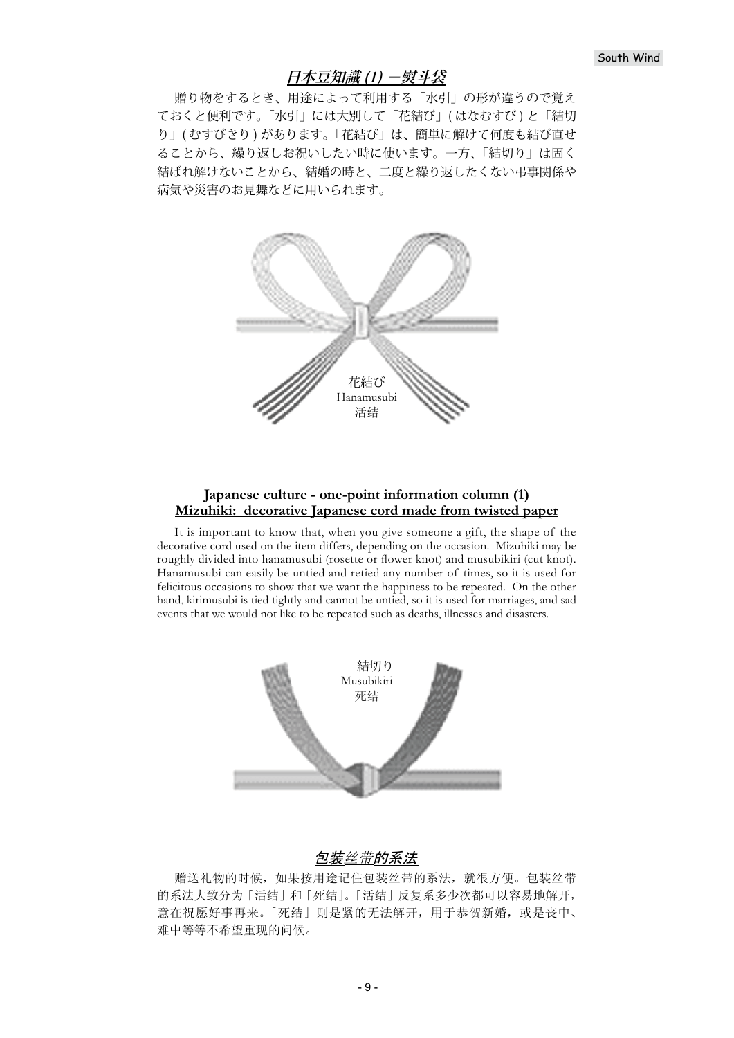## **日本豆知識 (1) -熨斗袋**

贈り物をするとき、用途によって利用する「水引」の形が違うので覚え ておくと便利です。「水引」には大別して「花結び」( はなむすび ) と「結切 り」( むすびきり ) があります。「花結び」は、簡単に解けて何度も結び直せ ることから、繰り返しお祝いしたい時に使います。一方、「結切り」は固く 結ばれ解けないことから、結婚の時と、二度と繰り返したくない弔事関係や 病気や災害のお見舞などに用いられます。



### **Japanese culture - one-point information column (1) Mizuhiki: decorative Japanese cord made from twisted paper**

It is important to know that, when you give someone a gift, the shape of the decorative cord used on the item differs, depending on the occasion. Mizuhiki may be roughly divided into hanamusubi (rosette or flower knot) and musubikiri (cut knot). Hanamusubi can easily be untied and retied any number of times, so it is used for felicitous occasions to show that we want the happiness to be repeated. On the other hand, kirimusubi is tied tightly and cannot be untied, so it is used for marriages, and sad events that we would not like to be repeated such as deaths, illnesses and disasters.



# 包装丝带的系法

赠送礼物的时候, 如果按用途记住包装丝带的系法, 就很方便。包装丝带 的系法大致分为「活结」和「死结」。「活结」反复系多少次都可以容易地解开, 意在祝愿好事再来。「死结」则是紧的无法解开,用于恭贺新婚,或是丧中、 难中等等不希望重现的问候。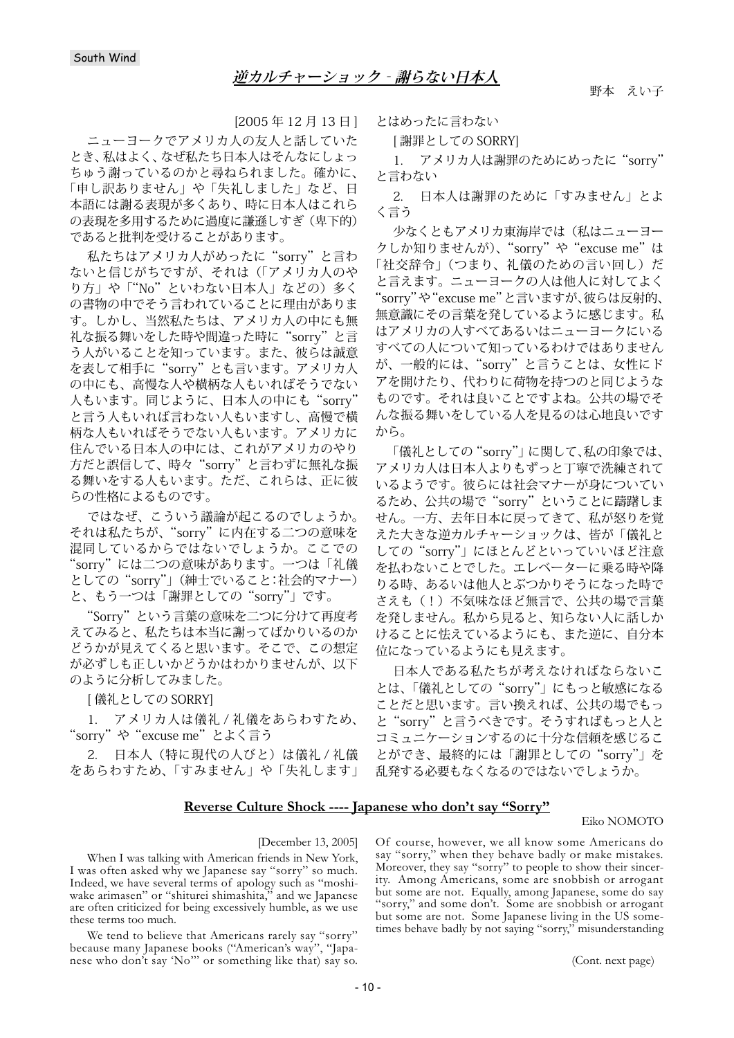[2005 年 12 月 13 日 ]

ニューヨークでアメリカ人の友人と話していた とき、私はよく、なぜ私たち日本人はそんなにしょっ ちゅう謝っているのかと尋ねられました。確かに、 「申し訳ありません」や「失礼しました」など、日 本語には謝る表現が多くあり、時に日本人はこれら の表現を多用するために過度に謙遜しすぎ(卑下的) であると批判を受けることがあります。

私たちはアメリカ人がめったに"sorry"と言わ ないと信じがちですが、それは(「アメリカ人のや り方」や「"No" といわない日本人」などの) 多く の書物の中でそう言われていることに理由がありま す。しかし、当然私たちは、アメリカ人の中にも無 礼な振る舞いをした時や間違った時に"sorry"と言 う人がいることを知っています。また、彼らは誠意 を表して相手に"sorry"とも言います。アメリカ人 の中にも、高慢な人や横柄な人もいればそうでない 人もいます。同じように、日本人の中にも"sorry' と言う人もいれば言わない人もいますし、高慢で横 柄な人もいればそうでない人もいます。アメリカに 住んでいる日本人の中には、これがアメリカのやり 方だと誤信して、時々"sorry"と言わずに無礼な振 る舞いをする人もいます。ただ、これらは、正に彼 らの性格によるものです。

ではなぜ、こういう議論が起こるのでしょうか。 それは私たちが、"sorry"に内在する二つの意味を 混同しているからではないでしょうか。ここでの "sorry"には二つの意味があります。一つは「礼儀 としての"sorry"」(紳士でいること:社会的マナー) と、もう一つは「謝罪としての"sorry"」です。

"Sorry"という言葉の意味を二つに分けて再度考 えてみると、私たちは本当に謝ってばかりいるのか どうかが見えてくると思います。そこで、この想定 が必ずしも正しいかどうかはわかりませんが、以下 のように分析してみました。

[ 儀礼としての SORRY]

1. アメリカ人は儀礼 / 礼儀をあらわすため、 "sorry"や"excuse me"とよく言う

2. 日本人(特に現代の人びと)は儀礼 / 礼儀 をあらわすため、「すみません」や「失礼します」 とはめったに言わない

[ 謝罪としての SORRY]

1. アメリカ人は謝罪のためにめったに"sorry" と言わない

2. 日本人は謝罪のために「すみません」とよ く言う

少なくともアメリカ東海岸では(私はニューヨー クしか知りませんが)、"sorry"や "excuse me"は 「社交辞令」(つまり、礼儀のための言い回し)だ と言えます。ニューヨークの人は他人に対してよく "sorry"や"excuse me"と言いますが、彼らは反射的、 無意識にその言葉を発しているように感じます。私 はアメリカの人すべてあるいはニューヨークにいる すべての人について知っているわけではありません が、一般的には、"sorry"と言うことは、女性にド アを開けたり、代わりに荷物を持つのと同じような ものです。それは良いことですよね。公共の場でそ んな振る舞いをしている人を見るのは心地良いです から。

「儀礼としての"sorry"」に関して、私の印象では、 アメリカ人は日本人よりもずっと丁寧で洗練されて いるようです。彼らには社会マナーが身についてい るため、公共の場で"sorry"ということに躊躇しま せん。一方、去年日本に戻ってきて、私が怒りを覚 えた大きな逆カルチャーショックは、皆が「儀礼と しての"sorry"」にほとんどといっていいほど注意 を払わないことでした。エレベーターに乗る時や降 りる時、あるいは他人とぶつかりそうになった時で さえも(!)不気味なほど無言で、公共の場で言葉 を発しません。私から見ると、知らない人に話しか けることに怯えているようにも、また逆に、自分本 位になっているようにも見えます。

日本人である私たちが考えなければならないこ とは、「儀礼としての"sorry"」にもっと敏感になる ことだと思います。言い換えれば、公共の場でもっ と"sorry"と言うべきです。そうすればもっと人と コミュニケーションするのに十分な信頼を感じるこ とができ、最終的には「謝罪としての"sorry"」を 乱発する必要もなくなるのではないでしょうか。

### **Reverse Culture Shock ---- Japanese who don't say "Sorry"**

#### Eiko NOMOTO

#### [December 13, 2005]

When I was talking with American friends in New York, I was often asked why we Japanese say "sorry" so much. Indeed, we have several terms of apology such as "moshiwake arimasen" or "shiturei shimashita," and we Japanese are often criticized for being excessively humble, as we use these terms too much.

We tend to believe that Americans rarely say "sorry" because many Japanese books ("American's way", "Japanese who don't say 'No'" or something like that) say so. Of course, however, we all know some Americans do say "sorry," when they behave badly or make mistakes. Moreover, they say "sorry" to people to show their sincerity. Among Americans, some are snobbish or arrogant but some are not. Equally, among Japanese, some do say "sorry," and some don't. Some are snobbish or arrogant but some are not. Some Japanese living in the US sometimes behave badly by not saying "sorry," misunderstanding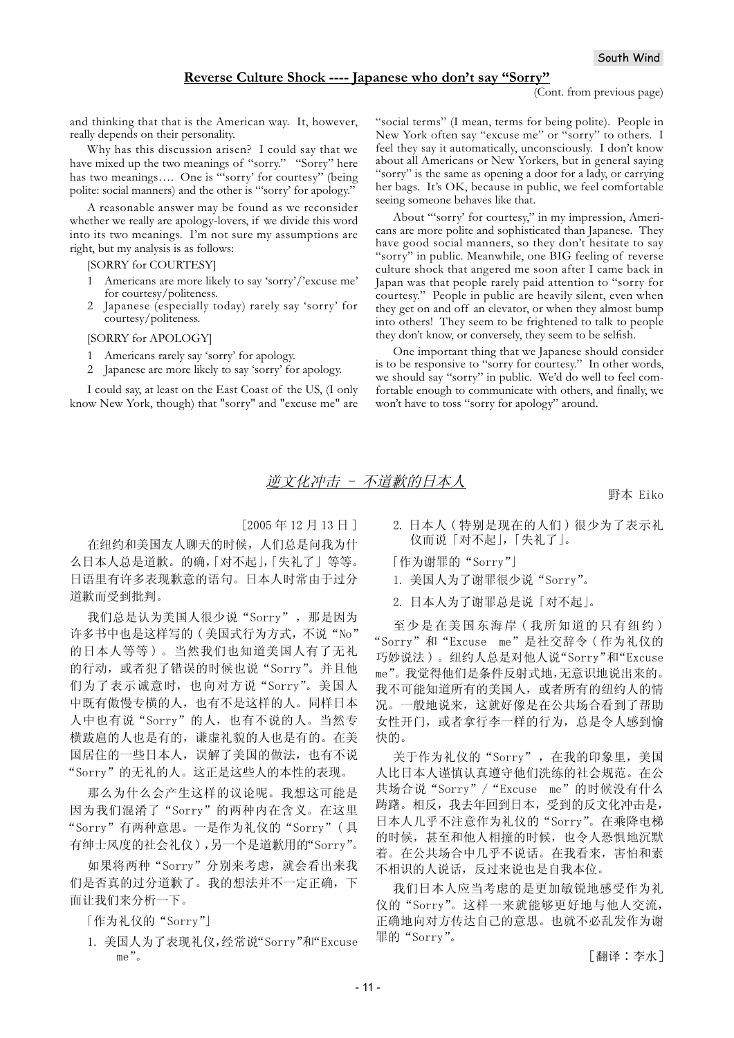#### **Reverse Culture Shock ---- Japanese who don't say "Sorry"**

(Cont. from previous page)

and thinking that that is the American way. It, however, really depends on their personality.

Why has this discussion arisen? I could say that we have mixed up the two meanings of "sorry." "Sorry" here has two meanings.... One is "sorry' for courtesy" (being polite: social manners) and the other is "'sorry' for apology."

A reasonable answer may be found as we reconsider whether we really are apology-lovers, if we divide this word into its two meanings. I'm not sure my assumptions are right, but my analysis is as follows:

[SORRY for COURTESY]

- 1 Americans are more likely to say 'sorry'/'excuse me' for courtesy/politeness.
- 2 Japanese (especially today) rarely say 'sorry' for courtesy/politeness.

[SORRY for APOLOGY]

- 1 Americans rarely say 'sorry' for apology.
- 2 Japanese are more likely to say 'sorry' for apology.

I could say, at least on the East Coast of the US, (I only know New York, though) that "sorry" and "excuse me" are

"social terms" (I mean, terms for being polite). People in New York often say "excuse me" or "sorry" to others. I feel they say it automatically, unconsciously. I don't know about all Americans or New Yorkers, but in general saying "sorry" is the same as opening a door for a lady, or carrying her bags. It's OK, because in public, we feel comfortable seeing someone behaves like that.

About "'sorry' for courtesy," in my impression, Americans are more polite and sophisticated than Japanese. They have good social manners, so they don't hesitate to say "sorry" in public. Meanwhile, one BIG feeling of reverse culture shock that angered me soon after I came back in Japan was that people rarely paid attention to "sorry for courtesy." People in public are heavily silent, even when they get on and off an elevator, or when they almost bump into others! They seem to be frightened to talk to people they don't know, or conversely, they seem to be selfish.

One important thing that we Japanese should consider is to be responsive to "sorry for courtesy." In other words, we should say "sorry" in public. We'd do well to feel comfortable enough to communicate with others, and finally, we won't have to toss "sorry for apology" around.

## 逆文化冲击 - 不道歉的日本人

野本 Eiko

 $[2005 \n45 12 \n45 13]$ 

在纽约和美国友人聊天的时候, 人们总是问我为什 么日本人总是道歉。的确, 「对不起」, 「失礼了」等等。 日语里有许多表现歉意的语句。日本人时常由于过分 道歉而受到批判。

我们总是认为美国人很少说"Sorry", 那是因为 许多书中也是这样写的(美国式行为方式, 不说"No" 的日本人等等)。当然我们也知道美国人有了无礼 的行动, 或者犯了错误的时候也说"Sorry"。并且他 们为了表示诚意时, 也向对方说"Sorry"。美国人 中既有傲慢专横的人, 也有不是这样的人。同样日本 人中也有说"Sorry"的人,也有不说的人。当然专 横跋扈的人也是有的,谦虚礼貌的人也是有的。在美 国居住的一些日本人, 误解了美国的做法, 也有不说 "Sorry"的无礼的人。这正是这些人的本性的表现。

那么为什么会产生这样的议论呢。我想这可能是 因为我们混淆了"Sorry"的两种内在含义。在这里 "Sorry"有两种意思。一是作为礼仪的"Sorry"(具 有绅士风度的社会礼仪),另一个是道歉用的"Sorry"。

如果将两种"Sorry"分别来考虑, 就会看出来我 们是否真的过分道歉了。我的想法并不一定正确,下 面让我们来分析一下。

[作为礼仪的"Sorry"]

1. 美国人为了表现礼仪,经常说"Sorry"和"Excuse  $me$ ".

2. 日本人 (特别是现在的人们)很少为了表示礼 仪而说「对不起」,「失礼了」。

[作为谢罪的"Sorry"]

- 1. 美国人为了谢罪很少说"Sorry"。
- 2. 日本人为了谢罪总是说「对不起」。

至少是在美国东海岸(我所知道的只有纽约) "Sorry"和"Excuse me"是社交辞令(作为礼仪的 巧妙说法)。纽约人总是对他人说"Sorry"和"Excuse me"。我觉得他们是条件反射式地,无意识地说出来的。 我不可能知道所有的美国人, 或者所有的纽约人的情 况。一般地说来, 这就好像是在公共场合看到了帮助 女性开门, 或者拿行李一样的行为, 总是令人感到愉 快的。

关于作为礼仪的"Sorry", 在我的印象里, 美国 人比日本人谨慎认真遵守他们洗练的社会规范。在公 共场合说"Sorry" / "Excuse me"的时候没有什么 踌躇。相反,我去年回到日本,受到的反文化冲击是, 日本人几乎不注意作为礼仪的"Sorry"。在乘降电梯 的时候, 甚至和他人相撞的时候, 也令人恐惧地沉默 着。在公共场合中几乎不说话。在我看来, 害怕和素 不相识的人说话,反过来说也是自我本位。

我们日本人应当考虑的是更加敏锐地感受作为礼 仪的"Sorry"。这样一来就能够更好地与他人交流, 正确地向对方传达自己的意思。也就不必乱发作为谢 罪的"Sorry"。

[翻译:李水]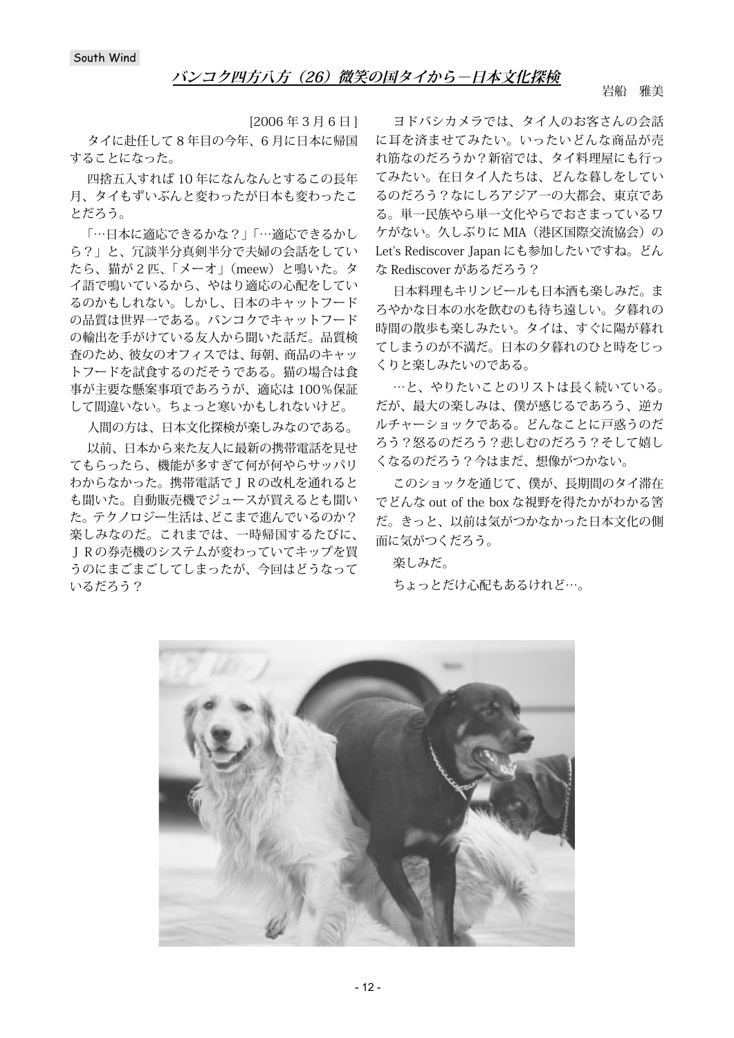岩船 雅美

[2006 年3月6日] タイに赴任して 8 年目の今年、6 月に日本に帰国 することになった。

四捨五入すれば 10 年になんなんとするこの長年 月、タイもずいぶんと変わったが日本も変わったこ とだろう。

「…日本に適応できるかな?」「…適応できるかし ら?」と、冗談半分真剣半分で夫婦の会話をしてい たら、猫が 2 匹、「メーオ」(meew)と鳴いた。タ イ語で鳴いているから、やはり適応の心配をしてい るのかもしれない。しかし、日本のキャットフード の品質は世界一である。バンコクでキャットフード の輸出を手がけている友人から聞いた話だ。品質検 査のため、彼女のオフィスでは、毎朝、商品のキャッ トフードを試食するのだそうである。猫の場合は食 事が主要な懸案事項であろうが、適応は 100%保証 して間違いない。ちょっと寒いかもしれないけど。

人間の方は、日本文化探検が楽しみなのである。

以前、日本から来た友人に最新の携帯電話を見せ てもらったら、機能が多すぎて何が何やらサッパリ わからなかった。携帯電話でJRの改札を通れると も聞いた。自動販売機でジュースが買えるとも聞い た。テクノロジー生活は、どこまで進んでいるのか? 楽しみなのだ。これまでは、一時帰国するたびに、 JRの券売機のシステムが変わっていてキップを買 うのにまごまごしてしまったが、今回はどうなって いるだろう?

ヨドバシカメラでは、タイ人のお客さんの会話 に耳を済ませてみたい。いったいどんな商品が売 れ筋なのだろうか?新宿では、タイ料理屋にも行っ てみたい。在日タイ人たちは、どんな暮しをしてい るのだろう?なにしろアジア一の大都会、東京であ る。単一民族やら単一文化やらでおさまっているワ ケがない。久しぶりに MIA(港区国際交流協会)の Let's Rediscover Japan にも参加したいですね。どん な Rediscover があるだろう?

日本料理もキリンビールも日本酒も楽しみだ。ま ろやかな日本の水を飲むのも待ち遠しい。夕暮れの 時間の散歩も楽しみたい。タイは、すぐに陽が暮れ てしまうのが不満だ。日本の夕暮れのひと時をじっ くりと楽しみたいのである。

…と、やりたいことのリストは長く続いている。 だが、最大の楽しみは、僕が感じるであろう、逆カ ルチャーショックである。どんなことに戸惑うのだ ろう?怒るのだろう?悲しむのだろう?そして嬉し くなるのだろう?今はまだ、想像がつかない。

このショックを通じて、僕が、長期間のタイ滞在 でどんな out of the box な視野を得たかがわかる筈 だ。きっと、以前は気がつかなかった日本文化の側 面に気がつくだろう。

楽しみだ。 ちょっとだけ心配もあるけれど…。

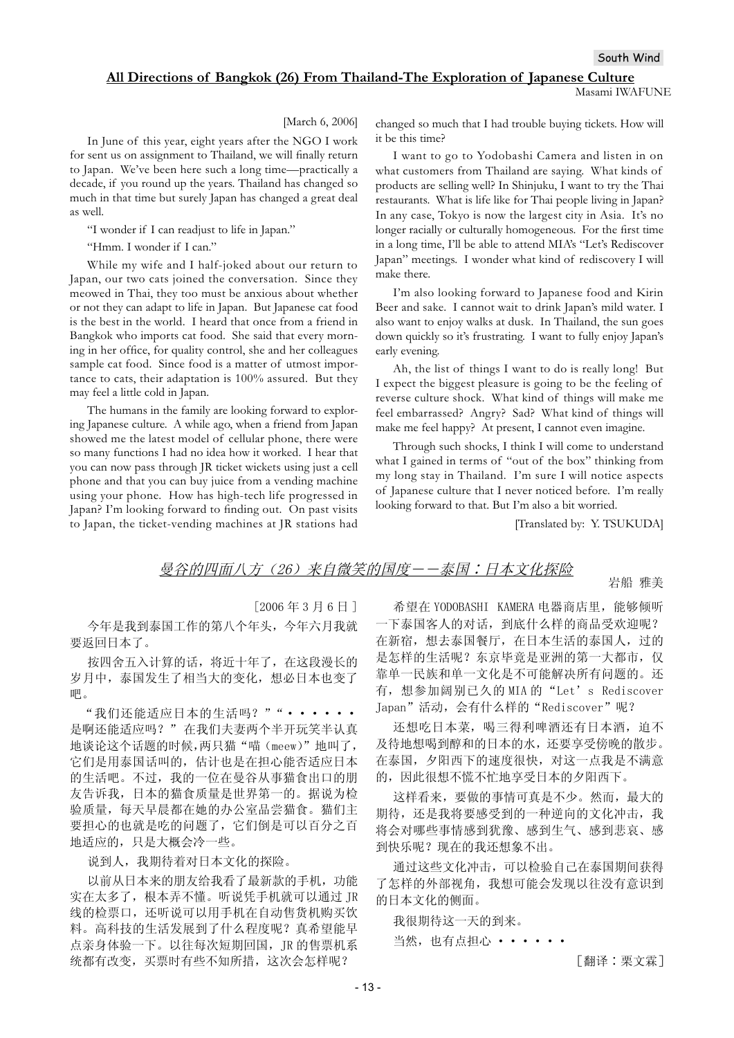### **All Directions of Bangkok (26) From Thailand-The Exploration of Japanese Culture**

[March 6, 2006]

In June of this year, eight years after the NGO I work for sent us on assignment to Thailand, we will finally return to Japan. We've been here such a long time—practically a decade, if you round up the years. Thailand has changed so much in that time but surely Japan has changed a great deal as well.

"I wonder if I can readjust to life in Japan."

"Hmm. I wonder if I can."

While my wife and I half-joked about our return to Japan, our two cats joined the conversation. Since they meowed in Thai, they too must be anxious about whether or not they can adapt to life in Japan. But Japanese cat food is the best in the world. I heard that once from a friend in Bangkok who imports cat food. She said that every morning in her office, for quality control, she and her colleagues sample cat food. Since food is a matter of utmost importance to cats, their adaptation is 100% assured. But they may feel a little cold in Japan.

The humans in the family are looking forward to exploring Japanese culture. A while ago, when a friend from Japan showed me the latest model of cellular phone, there were so many functions I had no idea how it worked. I hear that you can now pass through JR ticket wickets using just a cell phone and that you can buy juice from a vending machine using your phone. How has high-tech life progressed in Japan? I'm looking forward to finding out. On past visits to Japan, the ticket-vending machines at JR stations had

changed so much that I had trouble buying tickets. How will it be this time?

I want to go to Yodobashi Camera and listen in on what customers from Thailand are saying. What kinds of products are selling well? In Shinjuku, I want to try the Thai restaurants. What is life like for Thai people living in Japan? In any case, Tokyo is now the largest city in Asia. It's no longer racially or culturally homogeneous. For the first time in a long time, I'll be able to attend MIA's "Let's Rediscover Japan" meetings. I wonder what kind of rediscovery I will make there.

I'm also looking forward to Japanese food and Kirin Beer and sake. I cannot wait to drink Japan's mild water. I also want to enjoy walks at dusk. In Thailand, the sun goes down quickly so it's frustrating. I want to fully enjoy Japan's early evening.

Ah, the list of things I want to do is really long! But I expect the biggest pleasure is going to be the feeling of reverse culture shock. What kind of things will make me feel embarrassed? Angry? Sad? What kind of things will make me feel happy? At present, I cannot even imagine.

Through such shocks, I think I will come to understand what I gained in terms of "out of the box" thinking from my long stay in Thailand. I'm sure I will notice aspects of Japanese culture that I never noticed before. I'm really looking forward to that. But I'm also a bit worried.

[Translated by: Y. TSUKUDA]

岩船 雅美

# 曼谷的四面八方 (26) 来自微笑的国度——泰国:日本文化探险

 $[2006 \n45 3 5 6 6]$ 

今年是我到泰国工作的第八个年头,今年六月我就 要返回日本了。

按四舍五入计算的话, 将近十年了, 在这段漫长的 岁月中, 泰国发生了相当大的变化, 想必日本也变了 吧。

"我们还能适应日本的生活吗?""•••••• 是啊还能适应吗?" 在我们夫妻两个半开玩笑半认真 地谈论这个话题的时候,两只猫"喵(meew)"地叫了, 它们是用泰国话叫的,估计也是在担心能否适应日本 的生活吧。不过,我的一位在曼谷从事猫食出口的朋 友告诉我, 日本的猫食质量是世界第一的。据说为检 验质量, 每天早晨都在她的办公室品尝猫食。猫们主 要担心的也就是吃的问题了,它们倒是可以百分之百 地适应的,只是大概会冷一些。

说到人,我期待着对日本文化的探险。

以前从日本来的朋友给我看了最新款的手机, 功能 实在太多了, 根本弄不懂。听说凭手机就可以通过 JR 线的检票口, 还听说可以用手机在自动售货机购买饮 料。高科技的生活发展到了什么程度呢?真希望能早 点亲身体验一下。以往每次短期回国, JR 的售票机系 统都有改变, 买票时有些不知所措, 这次会怎样呢?

希望在 YODOBASHI KAMERA 电器商店里, 能够倾听 一下泰国客人的对话, 到底什么样的商品受欢迎呢? 在新宿, 想去泰国餐厅, 在日本生活的泰国人, 过的 是怎样的生活呢? 东京毕竟是亚洲的第一大都市, 仅 靠单一民族和单一文化是不可能解决所有问题的。还 有, 想参加阔别已久的 MIA 的"Let's Rediscover Japan"活动, 会有什么样的"Rediscover"呢?

还想吃日本菜, 喝三得利啤酒还有日本酒, 迫不 及待地想喝到醇和的日本的水,还要享受傍晚的散步。 在泰国, 夕阳西下的速度很快, 对这一点我是不满意 的,因此很想不慌不忙地享受日本的夕阳西下。

这样看来,要做的事情可真是不少。然而,最大的 期待,还是我将要感受到的一种逆向的文化冲击,我 将会对哪些事情感到犹豫、感到生气、感到悲哀、感 到快乐呢? 现在的我还想象不出。

通过这些文化冲击,可以检验自己在泰国期间获得 了怎样的外部视角, 我想可能会发现以往没有意识到 的日本文化的侧面。

我很期待这一天的到来。

当然, 也有点相心 • • • • • •

[翻译:栗文霖]

Masami IWAFUNE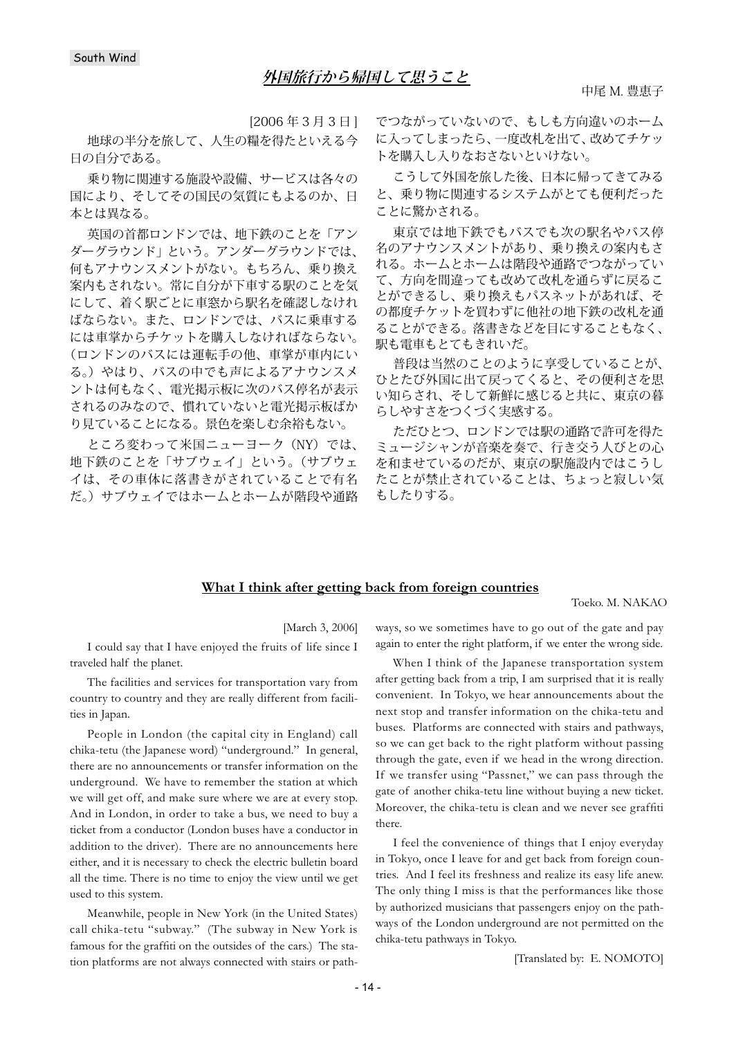[2006 年3月3日]

地球の半分を旅して、人生の糧を得たといえる今 日の自分である。

乗り物に関連する施設や設備、サービスは各々の 国により、そしてその国民の気質にもよるのか、日 本とは異なる。

英国の首都ロンドンでは、地下鉄のことを「アン ダーグラウンド」という。アンダーグラウンドでは、 何もアナウンスメントがない。もちろん、乗り換え 案内もされない。常に自分が下車する駅のことを気 にして、着く駅ごとに車窓から駅名を確認しなけれ ばならない。また、ロンドンでは、バスに乗車する には車掌からチケットを購入しなければならない。 (ロンドンのバスには運転手の他、車掌が車内にい る。)やはり、バスの中でも声によるアナウンスメ ントは何もなく、電光掲示板に次のバス停名が表示 されるのみなので、慣れていないと電光掲示板ばか り見ていることになる。景色を楽しむ余裕もない。

ところ変わって米国ニューヨーク(NY)では、 地下鉄のことを「サブウェイ」という。(サブウェ イは、その車体に落書きがされていることで有名 だ。)サブウェイではホームとホームが階段や通路 でつながっていないので、もしも方向違いのホーム に入ってしまったら、一度改札を出て、改めてチケッ トを購入し入りなおさないといけない。

こうして外国を旅した後、日本に帰ってきてみる と、乗り物に関連するシステムがとても便利だった ことに驚かされる。

東京では地下鉄でもバスでも次の駅名やバス停 名のアナウンスメントがあり、乗り換えの案内もさ れる。ホームとホームは階段や通路でつながってい て、方向を間違っても改めて改札を通らずに戻るこ とができるし、乗り換えもパスネットがあれば、そ の都度チケットを買わずに他社の地下鉄の改札を通 ることができる。落書きなどを目にすることもなく、 駅も電車もとてもきれいだ。

普段は当然のことのように享受していることが、 ひとたび外国に出て戻ってくると、その便利さを思 い知らされ、そして新鮮に感じると共に、東京の暮 らしやすさをつくづく実感する。

ただひとつ、ロンドンでは駅の通路で許可を得た ミュージシャンが音楽を奏で、行き交う人びとの心 を和ませているのだが、東京の駅施設内ではこうし たことが禁止されていることは、ちょっと寂しい気 もしたりする。

### **What I think after getting back from foreign countries**

Toeko. M. NAKAO

[March 3, 2006]

I could say that I have enjoyed the fruits of life since I traveled half the planet.

The facilities and services for transportation vary from country to country and they are really different from facilities in Japan.

People in London (the capital city in England) call chika-tetu (the Japanese word) "underground." In general, there are no announcements or transfer information on the underground. We have to remember the station at which we will get off, and make sure where we are at every stop. And in London, in order to take a bus, we need to buy a ticket from a conductor (London buses have a conductor in addition to the driver). There are no announcements here either, and it is necessary to check the electric bulletin board all the time. There is no time to enjoy the view until we get used to this system.

Meanwhile, people in New York (in the United States) call chika-tetu "subway." (The subway in New York is famous for the graffiti on the outsides of the cars.) The station platforms are not always connected with stairs or pathways, so we sometimes have to go out of the gate and pay again to enter the right platform, if we enter the wrong side.

When I think of the Japanese transportation system after getting back from a trip, I am surprised that it is really convenient. In Tokyo, we hear announcements about the next stop and transfer information on the chika-tetu and buses. Platforms are connected with stairs and pathways, so we can get back to the right platform without passing through the gate, even if we head in the wrong direction. If we transfer using "Passnet," we can pass through the gate of another chika-tetu line without buying a new ticket. Moreover, the chika-tetu is clean and we never see graffiti there.

I feel the convenience of things that I enjoy everyday in Tokyo, once I leave for and get back from foreign countries. And I feel its freshness and realize its easy life anew. The only thing I miss is that the performances like those by authorized musicians that passengers enjoy on the pathways of the London underground are not permitted on the chika-tetu pathways in Tokyo.

[Translated by: E. NOMOTO]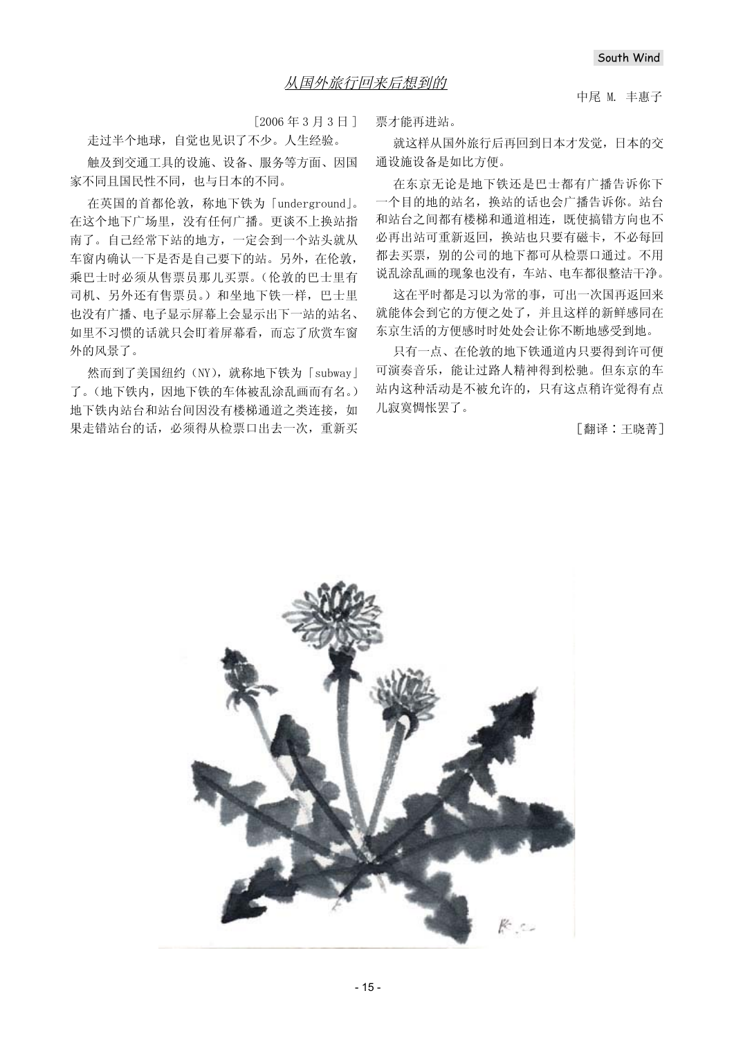中尾 M. 丰惠子

 $[2006 \n45 \n45 \n46 \n47 \n48 \n49 \n40 \n40 \n41 \n40 \n41 \n40 \n41 \n40 \n41 \n40 \n41 \n40 \n41 \n41 \n42 \n43 \n44 \n45 \n47 \n48 \n49 \n40 \n41 \n42 \n43 \n44 \n45 \n47 \n48 \n49 \n40 \n41 \n42 \n43 \n44 \n45 \n47 \n48 \n49 \n40 \n40 \n41 \n42 \n43 \n44 \n45 \n46 \n4$ 

走过半个地球, 自觉也见识了不少。人生经验。

触及到交通工具的设施、设备、服务等方面、因国 家不同且国民性不同,也与日本的不同。

在英国的首都伦敦,称地下铁为「underground」。 在这个地下广场里, 没有任何广播。更谈不上换站指 南了。自己经常下站的地方, 一定会到一个站头就从 车窗内确认一下是否是自己要下的站。另外, 在伦敦, 乘巴士时必须从售票员那儿买票。(伦敦的巴士里有 司机、另外还有售票员。)和坐地下铁一样,巴士里 也没有广播、电子显示屏幕上会显示出下一站的站名、 如里不习惯的话就只会盯着屏幕看,而忘了欣赏车窗 外的风景了。

然而到了美国纽约 (NY), 就称地下铁为 [subway] 了。(地下铁内,因地下铁的车体被乱涂乱画而有名。) 地下铁内站台和站台间因没有楼梯通道之类连接, 如 果走错站台的话, 必须得从检票口出去一次, 重新买 票才能再讲站。

就这样从国外旅行后再回到日本才发觉, 日本的交 通设施设备是如比方便。

在东京无论是地下铁还是巴士都有广播告诉你下 一个目的地的站名, 换站的话也会广播告诉你。站台 和站台之间都有楼梯和通道相连, 既使搞错方向也不 必再出站可重新返回,换站也只要有磁卡,不必每回 都去买票,别的公司的地下都可从检票口通过。不用 说乱涂乱画的现象也没有, 车站、电车都很整洁干净。

这在平时都是习以为常的事,可出一次国再返回来 就能体会到它的方便之处了,并且这样的新鲜感同在 东京生活的方便感时时处处会让你不断地感受到地。

只有一点、在伦敦的地下铁通道内只要得到许可便 可演奏音乐, 能让过路人精神得到松驰。但东京的车 站内这种活动是不被允许的,只有这点稍许觉得有点 儿寂寞惆怅罢了。

「翻译:王晓菁]

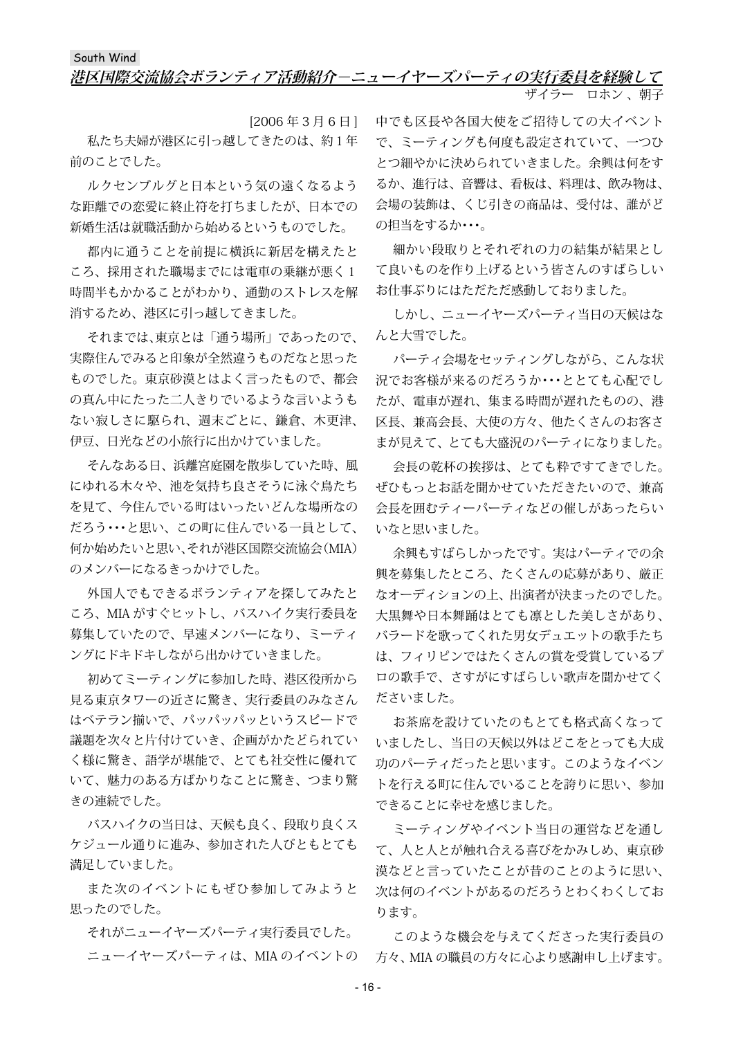## South Wind **港区国際交流協会ボランティア活動紹介-ニューイヤーズパーティの実行委員を経験して** ザイラー ロホン 、朝子

[2006 年3月6日] 私たち夫婦が港区に引っ越してきたのは、約1年 前のことでした。

ルクセンブルグと日本という気の遠くなるよう な距離での恋愛に終止符を打ちましたが、日本での 新婚生活は就職活動から始めるというものでした。

都内に通うことを前提に横浜に新居を構えたと ころ、採用された職場までには電車の乗継が悪く1 時間半もかかることがわかり、通勤のストレスを解 消するため、港区に引っ越してきました。

それまでは、東京とは「通う場所」であったので、 実際住んでみると印象が全然違うものだなと思った ものでした。東京砂漠とはよく言ったもので、都会 の真ん中にたった二人きりでいるような言いようも ない寂しさに駆られ、週末ごとに、鎌倉、木更津、 伊豆、日光などの小旅行に出かけていました。

そんなある日、浜離宮庭園を散歩していた時、風 にゆれる木々や、池を気持ち良さそうに泳ぐ鳥たち を見て、今住んでいる町はいったいどんな場所なの だろう・・・と思い、この町に住んでいる一員として、 何か始めたいと思い、それが港区国際交流協会(MIA) のメンバーになるきっかけでした。

外国人でもできるボランティアを探してみたと ころ、MIA がすぐヒットし、バスハイク実行委員を 募集していたので、早速メンバーになり、ミーティ ングにドキドキしながら出かけていきました。

初めてミーティングに参加した時、港区役所から 見る東京タワーの近さに驚き、実行委員のみなさん はベテラン揃いで、パッパッパッというスピードで 議題を次々と片付けていき、企画がかたどられてい く様に驚き、語学が堪能で、とても社交性に優れて いて、魅力のある方ばかりなことに驚き、つまり驚 きの連続でした。

バスハイクの当日は、天候も良く、段取り良くス ケジュール通りに進み、参加された人びともとても 満足していました。

また次のイベントにもぜひ参加してみようと 思ったのでした。

それがニューイヤーズパーティ実行委員でした。 ニューイヤーズパーティは、MIA のイベントの 中でも区長や各国大使をご招待しての大イベント で、ミーティングも何度も設定されていて、一つひ とつ細やかに決められていきました。余興は何をす るか、進行は、音響は、看板は、料理は、飲み物は、 会場の装飾は、くじ引きの商品は、受付は、誰がど の担当をするか・・・。

細かい段取りとそれぞれの力の結集が結果とし て良いものを作り上げるという皆さんのすばらしい お仕事ぶりにはただただ感動しておりました。

しかし、ニューイヤーズパーティ当日の天候はな んと大雪でした。

パーティ会場をセッティングしながら、こんな状 況でお客様が来るのだろうか・・・ととても心配でし たが、電車が遅れ、集まる時間が遅れたものの、港 区長、兼高会長、大使の方々、他たくさんのお客さ まが見えて、とても大盛況のパーティになりました。

会長の乾杯の挨拶は、とても粋ですてきでした。 ぜひもっとお話を聞かせていただきたいので、兼高 会長を囲むティーパーティなどの催しがあったらい いなと思いました。

余興もすばらしかったです。実はパーティでの余 興を募集したところ、たくさんの応募があり、厳正 なオーディションの上、出演者が決まったのでした。 大黒舞や日本舞踊はとても凛とした美しさがあり、 バラードを歌ってくれた男女デュエットの歌手たち は、フィリピンではたくさんの賞を受賞しているプ ロの歌手で、さすがにすばらしい歌声を聞かせてく ださいました。

お茶席を設けていたのもとても格式高くなって いましたし、当日の天候以外はどこをとっても大成 功のパーティだったと思います。このようなイベン トを行える町に住んでいることを誇りに思い、参加 できることに幸せを感じました。

ミーティングやイベント当日の運営などを通し て、人と人とが触れ合える喜びをかみしめ、東京砂 漠などと言っていたことが昔のことのように思い、 次は何のイベントがあるのだろうとわくわくしてお ります。

このような機会を与えてくださった実行委員の 方々、MIA の職員の方々に心より感謝申し上げます。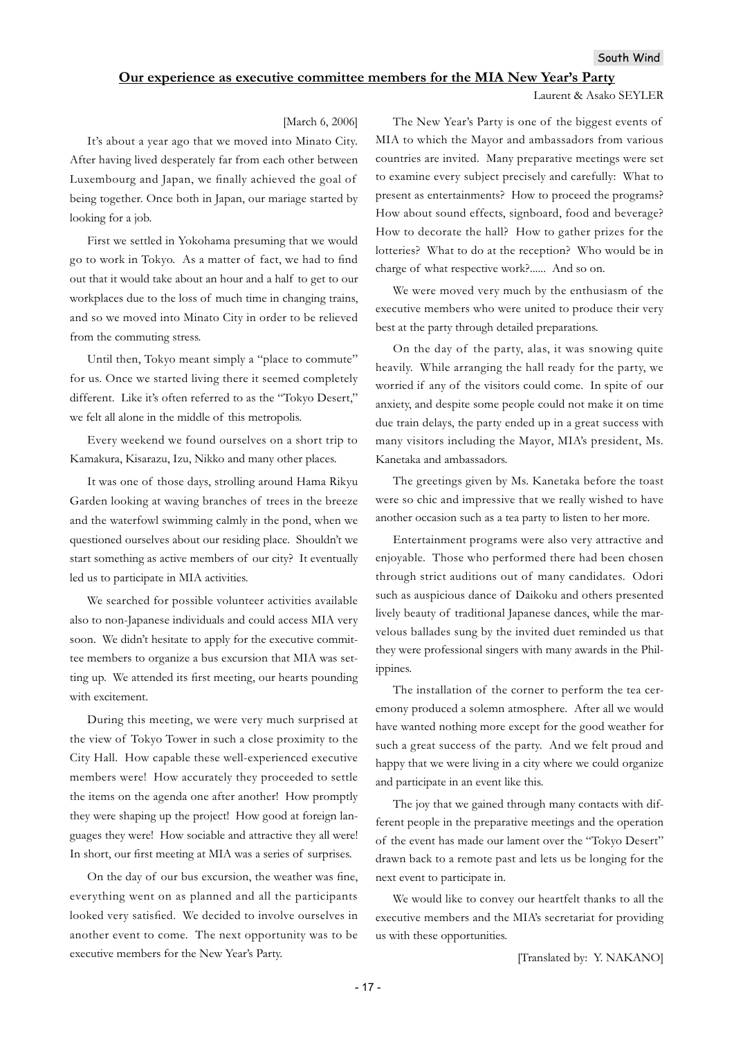## **Our experience as executive committee members for the MIA New Year's Party**

#### Laurent & Asako SEYLER

#### [March 6, 2006]

It's about a year ago that we moved into Minato City. After having lived desperately far from each other between Luxembourg and Japan, we finally achieved the goal of being together. Once both in Japan, our mariage started by looking for a job.

First we settled in Yokohama presuming that we would go to work in Tokyo. As a matter of fact, we had to find out that it would take about an hour and a half to get to our workplaces due to the loss of much time in changing trains, and so we moved into Minato City in order to be relieved from the commuting stress.

Until then, Tokyo meant simply a "place to commute" for us. Once we started living there it seemed completely different. Like it's often referred to as the "Tokyo Desert," we felt all alone in the middle of this metropolis.

Every weekend we found ourselves on a short trip to Kamakura, Kisarazu, Izu, Nikko and many other places.

It was one of those days, strolling around Hama Rikyu Garden looking at waving branches of trees in the breeze and the waterfowl swimming calmly in the pond, when we questioned ourselves about our residing place. Shouldn't we start something as active members of our city? It eventually led us to participate in MIA activities.

We searched for possible volunteer activities available also to non-Japanese individuals and could access MIA very soon. We didn't hesitate to apply for the executive committee members to organize a bus excursion that MIA was setting up. We attended its first meeting, our hearts pounding with excitement.

During this meeting, we were very much surprised at the view of Tokyo Tower in such a close proximity to the City Hall. How capable these well-experienced executive members were! How accurately they proceeded to settle the items on the agenda one after another! How promptly they were shaping up the project! How good at foreign languages they were! How sociable and attractive they all were! In short, our first meeting at MIA was a series of surprises.

On the day of our bus excursion, the weather was fine, everything went on as planned and all the participants looked very satisfied. We decided to involve ourselves in another event to come. The next opportunity was to be executive members for the New Year's Party.

The New Year's Party is one of the biggest events of MIA to which the Mayor and ambassadors from various countries are invited. Many preparative meetings were set to examine every subject precisely and carefully: What to present as entertainments? How to proceed the programs? How about sound effects, signboard, food and beverage? How to decorate the hall? How to gather prizes for the lotteries? What to do at the reception? Who would be in charge of what respective work?...... And so on.

We were moved very much by the enthusiasm of the executive members who were united to produce their very best at the party through detailed preparations.

On the day of the party, alas, it was snowing quite heavily. While arranging the hall ready for the party, we worried if any of the visitors could come. In spite of our anxiety, and despite some people could not make it on time due train delays, the party ended up in a great success with many visitors including the Mayor, MIA's president, Ms. Kanetaka and ambassadors.

The greetings given by Ms. Kanetaka before the toast were so chic and impressive that we really wished to have another occasion such as a tea party to listen to her more.

Entertainment programs were also very attractive and enjoyable. Those who performed there had been chosen through strict auditions out of many candidates. Odori such as auspicious dance of Daikoku and others presented lively beauty of traditional Japanese dances, while the marvelous ballades sung by the invited duet reminded us that they were professional singers with many awards in the Philippines.

The installation of the corner to perform the tea ceremony produced a solemn atmosphere. After all we would have wanted nothing more except for the good weather for such a great success of the party. And we felt proud and happy that we were living in a city where we could organize and participate in an event like this.

The joy that we gained through many contacts with different people in the preparative meetings and the operation of the event has made our lament over the "Tokyo Desert" drawn back to a remote past and lets us be longing for the next event to participate in.

We would like to convey our heartfelt thanks to all the executive members and the MIA's secretariat for providing us with these opportunities.

[Translated by: Y. NAKANO]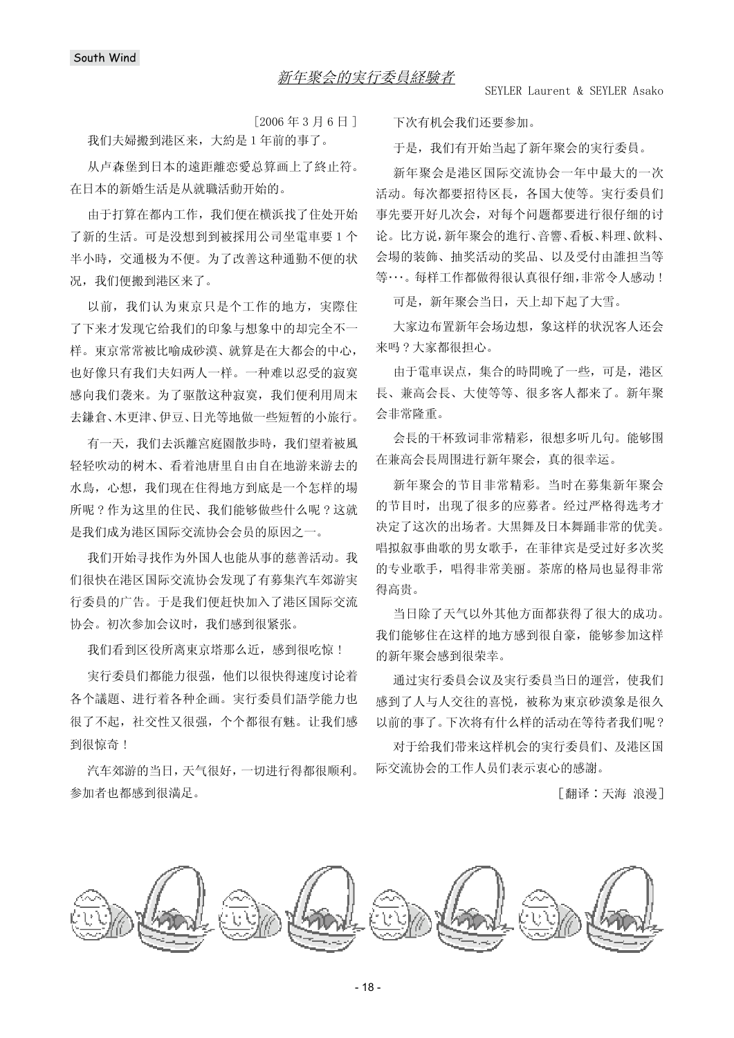$[2006 \n45 \n45 \n46 \n41]$ 

我们夫婦搬到港区来,大約是1年前的事了。

从卢森堡到日本的遠距離恋愛总算画上了終止符。 在日本的新婚生活是从就職活動开始的。

由于打算在都内工作, 我们便在横浜找了住处开始 了新的生活。可是没想到到被採用公司坐電車要1个 半小時, 交通极为不便。为了改善这种通勤不便的状 况, 我们便搬到港区来了。

以前, 我们认为東京只是个工作的地方, 実際住 了下来才发现它给我们的印象与想象中的却完全不一 样。東京常常被比喻成砂漠、就算是在大都会的中心, 也好像只有我们夫妇两人一样。一种难以忍受的寂寞 感向我们袭来。为了驱散这种寂寞, 我们便利用周末 去鎌倉、木更津、伊豆、日光等地做一些短暂的小旅行。

有一天, 我们夫浜離宮庭園散歩時, 我们望着被風 轻轻吹动的树木、看着池唐里自由自在地游来游去的 水鳥,心想,我们现在住得地方到底是一个怎样的場 所呢?作为这里的住民、我们能够做些什么呢?这就 是我们成为港区国际交流协会会员的原因之一。

我们开始寻找作为外国人也能从事的慈善活动。我 们很快在港区国际交流协会发现了有募集汽车郊游実 行委員的广告。于是我们便赶快加入了港区国际交流 协会。初次参加会议时, 我们感到很紧张。

我们看到区役所离東京塔那么近, 感到很吃惊!

宝行委員们都能力很强, 他们以很快得速度讨论着 各个議題、进行着各种企画。実行委員们語学能力也 很了不起, 社交性又很强, 个个都很有魅。让我们感 到很惊奇!

汽车郊游的当日,天气很好,一切进行得都很顺利。 参加者也都感到很満足。

下次有机会我们还要参加。

于是, 我们有开始当起了新年聚会的実行委員。

新年聚会是港区国际交流协会一年中最大的一次 活动。每次都要招待区長, 各国大使等。 実行委員们 事先要开好几次会, 对每个问题都要讲行很仔细的讨 论。比方说,新年聚会的進行、音響、看板、料理、飲料、 会場的装飾、抽奖活动的奖品、以及受付由誰担当等 等…。每样工作都做得很认真很仔细,非常令人感动!

可是, 新年聚会当日, 天上却下起了大雪。

大家边布置新年会场边想, 象这样的状況客人还会 来吗 ? 大家都很担心。

由于電車误点, 集合的時間晚了一些, 可是, 港区 長、兼高会長、大使等等、很多客人都来了。新年聚 会非常降重。

会長的干杯致词非常精彩,很想多听几句。能够围 在兼高会長周围进行新年聚会, 真的很幸运。

新年聚会的节目非常精彩。当时在墓集新年聚会 的节目时, 出现了很多的应募者。经过严格得选考才 决定了这次的出场者。大黒舞及日本舞踊非常的优美。 唱拟叙事曲歌的男女歌手, 在菲律宾是受过好多次奖 的专业歌手,唱得非常美丽。茶席的格局也显得非常 得高贵。

当日除了天气以外其他方面都获得了很大的成功。 我们能够住在这样的地方感到很自豪, 能够参加这样 的新年聚会感到很荣幸。

通过実行委員会议及実行委員当日的運営, 使我们 感到了人与人交往的喜悦, 被称为東京砂漠象是很久 以前的事了。下次将有什么样的活动在等待者我们呢?

对于给我们带来这样机会的実行委員们、及港区国 际交流协会的工作人员们表示衷心的感謝。

【翻译:天海 浪漫】

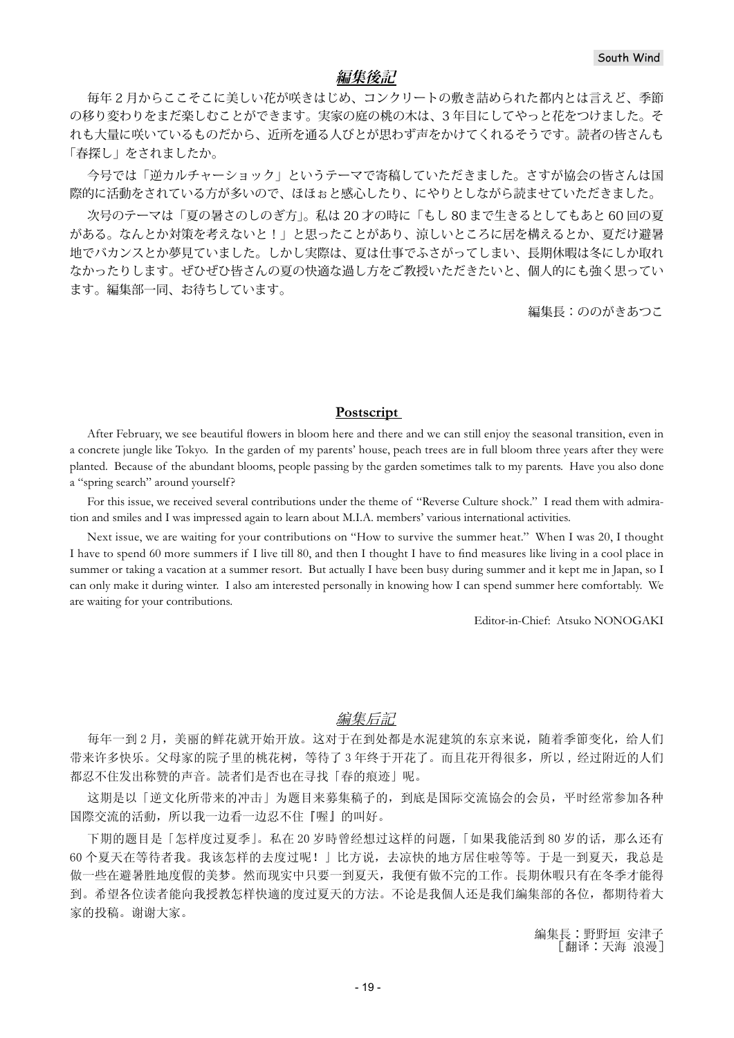## **編集後記**

毎年 2 月からここそこに美しい花が咲きはじめ、コンクリートの敷き詰められた都内とは言えど、季節 の移り変わりをまだ楽しむことができます。実家の庭の桃の木は、3 年目にしてやっと花をつけました。そ れも大量に咲いているものだから、近所を通る人びとが思わず声をかけてくれるそうです。読者の皆さんも 「春探し」をされましたか。

今号では「逆カルチャーショック」というテーマで寄稿していただきました。さすが協会の皆さんは国 際的に活動をされている方が多いので、ほほぉと感心したり、にやりとしながら読ませていただきました。

次号のテーマは「夏の暑さのしのぎ方」。私は 20 才の時に「もし 80 まで生きるとしてもあと 60 回の夏 がある。なんとか対策を考えないと!」と思ったことがあり、涼しいところに居を構えるとか、夏だけ避暑 地でバカンスとか夢見ていました。しかし実際は、夏は仕事でふさがってしまい、長期休暇は冬にしか取れ なかったりします。ぜひぜひ皆さんの夏の快適な過し方をご教授いただきたいと、個人的にも強く思ってい ます。編集部一同、お待ちしています。

編集長:ののがきあつこ

### **Postscript**

After February, we see beautiful flowers in bloom here and there and we can still enjoy the seasonal transition, even in a concrete jungle like Tokyo. In the garden of my parents' house, peach trees are in full bloom three years after they were planted. Because of the abundant blooms, people passing by the garden sometimes talk to my parents. Have you also done a "spring search" around yourself?

For this issue, we received several contributions under the theme of "Reverse Culture shock." I read them with admiration and smiles and I was impressed again to learn about M.I.A. members' various international activities.

Next issue, we are waiting for your contributions on "How to survive the summer heat." When I was 20, I thought I have to spend 60 more summers if I live till 80, and then I thought I have to find measures like living in a cool place in summer or taking a vacation at a summer resort. But actually I have been busy during summer and it kept me in Japan, so I can only make it during winter. I also am interested personally in knowing how I can spend summer here comfortably. We are waiting for your contributions.

Editor-in-Chief: Atsuko NONOGAKI

### 編集后記

每年一到2月,美丽的鲜花就开始开放。这对于在到处都是水泥建筑的东京来说,随着季節变化,给人们 带来许多快乐。父母家的院子里的桃花树, 等待了3年终于开花了。而且花开得很多, 所以, 经过附近的人们 都忍不住发出称赞的声音。読者们是否也在寻找「春的痕迹」呢。

这期是以「逆文化所带来的冲击」为题目来募集稿子的,到底是国际交流協会的会员,平时经常参加各种 国際交流的活動, 所以我一边看一边忍不住『喔』的叫好。

下期的题目是「怎样度过夏季」。私在 20 岁時曾经想过这样的问题,「如果我能活到 80 岁的话, 那么还有 60个夏天在等待者我。我该怎样的去度过呢!」比方说,去凉快的地方居住啦等等。于是一到夏天,我总是 做一些在避暑胜地度假的美梦。然而现实中只要一到夏天,我便有做不完的工作。長期休暇只有在冬季才能得 到。希望各位读者能向我授教怎样快適的度过夏天的方法。不论是我個人还是我们編集部的各位,都期待着大 家的投稿。谢谢大家。

> 編集長:野野垣 安津子 [翻译:天海浪漫]